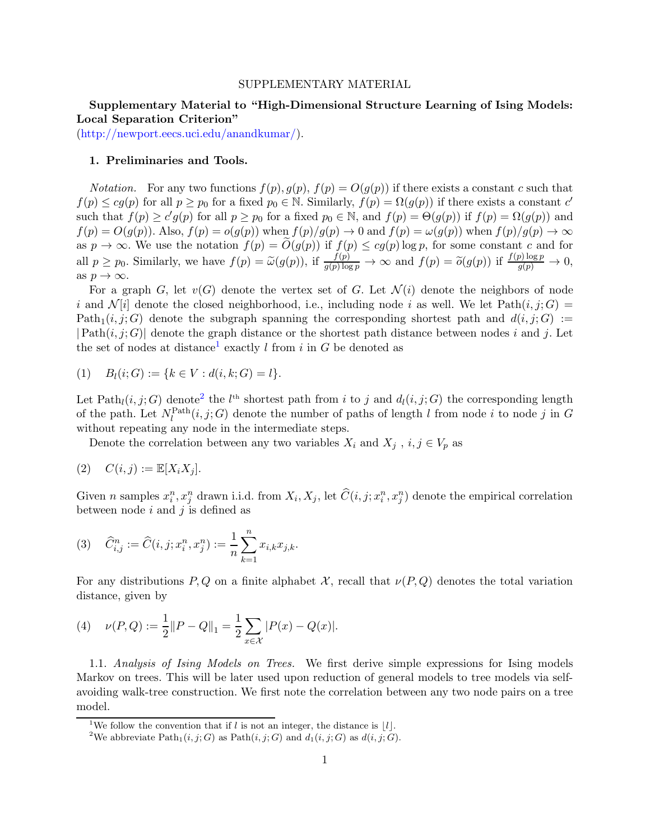#### SUPPLEMENTARY MATERIAL

# Supplementary Material to "High-Dimensional Structure Learning of Ising Models: Local Separation Criterion"

[\(http://newport.eecs.uci.edu/anandkumar/\)](http://newport.eecs.uci.edu/anandkumar/).

### 1. Preliminaries and Tools.

*Notation.* For any two functions  $f(p), g(p), f(p) = O(g(p))$  if there exists a constant c such that  $f(p) \le cg(p)$  for all  $p \ge p_0$  for a fixed  $p_0 \in \mathbb{N}$ . Similarly,  $f(p) = \Omega(g(p))$  if there exists a constant  $c'$ such that  $f(p) \ge c' g(p)$  for all  $p \ge p_0$  for a fixed  $p_0 \in \mathbb{N}$ , and  $f(p) = \Theta(g(p))$  if  $f(p) = \Omega(g(p))$  and  $f(p) = O(g(p))$ . Also,  $f(p) = o(g(p))$  when  $f(p)/g(p) \to 0$  and  $f(p) = \omega(g(p))$  when  $f(p)/g(p) \to \infty$ as  $p \to \infty$ . We use the notation  $f(p) = O(g(p))$  if  $f(p) \le cg(p) \log p$ , for some constant c and for all  $p \geq p_0$ . Similarly, we have  $f(p) = \tilde{\omega}(g(p))$ , if  $\frac{f(p)}{g(p) \log p} \to \infty$  and  $f(p) = \tilde{\omega}(g(p))$  if  $\frac{f(p) \log p}{g(p)} \to 0$ , as  $p \to \infty$ .

For a graph G, let  $v(G)$  denote the vertex set of G. Let  $\mathcal{N}(i)$  denote the neighbors of node i and  $\mathcal{N}[i]$  denote the closed neighborhood, i.e., including node i as well. We let Path $(i, j; G)$  = Path<sub>1</sub> $(i, j; G)$  denote the subgraph spanning the corresponding shortest path and  $d(i, j; G) :=$  $|\text{Path}(i, j; G)|$  denote the graph distance or the shortest path distance between nodes i and j. Let the set of nodes at distance<sup>[1](#page-0-0)</sup> exactly l from i in G be denoted as

$$
(1) \quad B_l(i;G) := \{k \in V : d(i,k;G) = l\}.
$$

Let  $\text{Path}_l(i, j; G)$  denote<sup>[2](#page-0-1)</sup> the  $l^{\text{th}}$  shortest path from i to j and  $d_l(i, j; G)$  the corresponding length of the path. Let  $N_l^{\text{Path}}(i, j; G)$  denote the number of paths of length l from node i to node j in G without repeating any node in the intermediate steps.

Denote the correlation between any two variables  $X_i$  and  $X_j$ ,  $i, j \in V_p$  as

$$
(2) \quad C(i,j) := \mathbb{E}[X_i X_j].
$$

Given n samples  $x_i^n, x_j^n$  drawn i.i.d. from  $X_i, X_j$ , let  $\widehat{C}(i, j; x_i^n, x_j^n)$  denote the empirical correlation between node  $i$  and  $j$  is defined as

(3) 
$$
\widehat{C}_{i,j}^n := \widehat{C}(i, j; x_i^n, x_j^n) := \frac{1}{n} \sum_{k=1}^n x_{i,k} x_{j,k}.
$$

For any distributions P, Q on a finite alphabet X, recall that  $\nu(P,Q)$  denotes the total variation distance, given by

(4) 
$$
\nu(P,Q) := \frac{1}{2} ||P - Q||_1 = \frac{1}{2} \sum_{x \in \mathcal{X}} |P(x) - Q(x)|.
$$

1.1. Analysis of Ising Models on Trees. We first derive simple expressions for Ising models Markov on trees. This will be later used upon reduction of general models to tree models via selfavoiding walk-tree construction. We first note the correlation between any two node pairs on a tree model.

<sup>&</sup>lt;sup>1</sup>We follow the convention that if l is not an integer, the distance is |l|.

<span id="page-0-1"></span><span id="page-0-0"></span><sup>&</sup>lt;sup>2</sup>We abbreviate Path<sub>1</sub> $(i, j; G)$  as Path $(i, j; G)$  and  $d_1(i, j; G)$  as  $d(i, j; G)$ .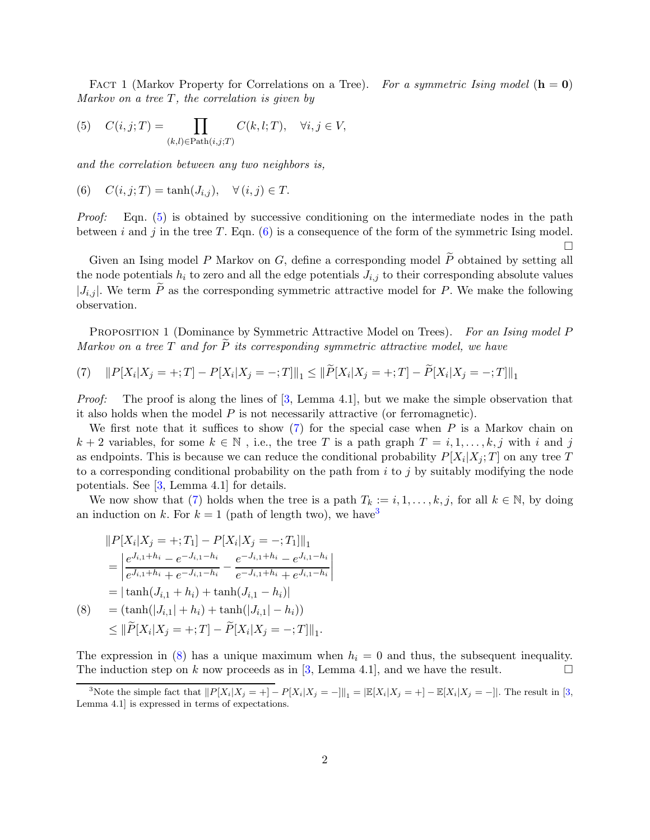<span id="page-1-0"></span>FACT 1 (Markov Property for Correlations on a Tree). For a symmetric Ising model  $(h = 0)$ Markov on a tree  $T$ , the correlation is given by

(5) 
$$
C(i,j;T) = \prod_{(k,l)\in \text{Path}(i,j;T)} C(k,l;T), \quad \forall i, j \in V,
$$

and the correlation between any two neighbors is,

(6) 
$$
C(i, j; T) = \tanh(J_{i,j}), \quad \forall (i, j) \in T.
$$

Proof: Eqn. [\(5\)](#page-1-0) is obtained by successive conditioning on the intermediate nodes in the path between i and j in the tree T. Eqn.  $(6)$  is a consequence of the form of the symmetric Ising model.

<span id="page-1-2"></span><span id="page-1-1"></span> $\Box$ 

Given an Ising model P Markov on G, define a corresponding model  $\widetilde{P}$  obtained by setting all the node potentials  $h_i$  to zero and all the edge potentials  $J_{i,j}$  to their corresponding absolute values  $|J_{i,j}|$ . We term  $\widetilde{P}$  as the corresponding symmetric attractive model for P. We make the following observation.

<span id="page-1-5"></span>PROPOSITION 1 (Dominance by Symmetric Attractive Model on Trees). For an Ising model P Markov on a tree T and for  $\widetilde{P}$  its corresponding symmetric attractive model, we have

(7) 
$$
||P[X_i|X_j = +;T] - P[X_i|X_j = -;T]||_1 \le ||\widetilde{P}[X_i|X_j = +;T] - \widetilde{P}[X_i|X_j = -;T]||_1
$$

*Proof:* The proof is along the lines of  $[3, \text{ Lemma } 4.1]$ , but we make the simple observation that it also holds when the model  $P$  is not necessarily attractive (or ferromagnetic).

We first note that it suffices to show  $(7)$  for the special case when P is a Markov chain on  $k + 2$  variables, for some  $k \in \mathbb{N}$ , i.e., the tree T is a path graph  $T = i, 1, \ldots, k, j$  with i and j as endpoints. This is because we can reduce the conditional probability  $P[X_i|X_j;T]$  on any tree T to a corresponding conditional probability on the path from  $i$  to  $j$  by suitably modifying the node potentials. See [\[3](#page-21-0), Lemma 4.1] for details.

We now show that [\(7\)](#page-1-2) holds when the tree is a path  $T_k := i, 1, \ldots, k, j$ , for all  $k \in \mathbb{N}$ , by doing an induction on k. For  $k = 1$  (path of length two), we have <sup>[3](#page-1-3)</sup>

$$
||P[X_i|X_j = +;T_1] - P[X_i|X_j = -;T_1]||_1
$$
  
= 
$$
\left| \frac{e^{J_{i,1}+h_i} - e^{-J_{i,1}-h_i}}{e^{J_{i,1}+h_i} + e^{-J_{i,1}-h_i}} - \frac{e^{-J_{i,1}+h_i} - e^{J_{i,1}-h_i}}{e^{-J_{i,1}+h_i} + e^{J_{i,1}-h_i}} \right|
$$
  
= 
$$
|\tanh(J_{i,1}+h_i) + \tanh(J_{i,1}-h_i)|
$$
  
(8) = 
$$
(\tanh(|J_{i,1}|+h_i) + \tanh(|J_{i,1}|-h_i))
$$

<span id="page-1-4"></span>
$$
\leq \|\widetilde{P}[X_i|X_j = +;T] - \widetilde{P}[X_i|X_j = -;T]\|_1.
$$

The expression in [\(8\)](#page-1-4) has a unique maximum when  $h_i = 0$  and thus, the subsequent inequality. The induction step on k now proceeds as in [\[3,](#page-21-0) Lemma 4.1], and we have the result.

<span id="page-1-3"></span><sup>&</sup>lt;sup>3</sup>Note the simple fact that  $||P[X_i|X_j = +] - P[X_i|X_j = -]||_1 = |\mathbb{E}[X_i|X_j = +] - \mathbb{E}[X_i|X_j = -]||$ . The result in [\[3](#page-21-0), Lemma 4.1] is expressed in terms of expectations.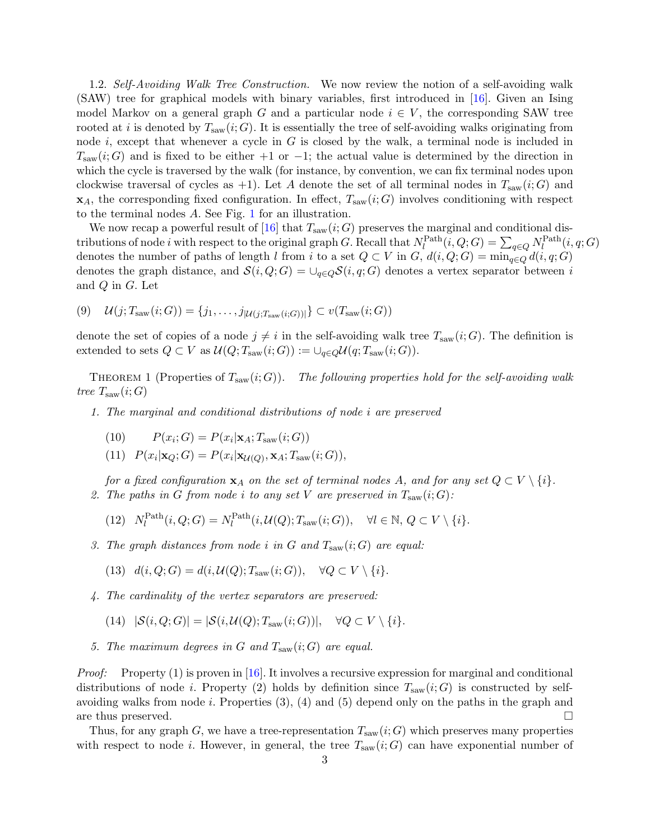1.2. Self-Avoiding Walk Tree Construction. We now review the notion of a self-avoiding walk (SAW) tree for graphical models with binary variables, first introduced in [\[16\]](#page-21-1). Given an Ising model Markov on a general graph G and a particular node  $i \in V$ , the corresponding SAW tree rooted at i is denoted by  $T_{\text{saw}}(i; G)$ . It is essentially the tree of self-avoiding walks originating from node i, except that whenever a cycle in  $G$  is closed by the walk, a terminal node is included in  $T_{\text{saw}}(i;G)$  and is fixed to be either +1 or -1; the actual value is determined by the direction in which the cycle is traversed by the walk (for instance, by convention, we can fix terminal nodes upon clockwise traversal of cycles as +1). Let A denote the set of all terminal nodes in  $T_{\text{sav}}(i;G)$  and  $\mathbf{x}_A$ , the corresponding fixed configuration. In effect,  $T_{\text{saw}}(i; G)$  involves conditioning with respect to the terminal nodes  $A$ . See Fig. [1](#page-3-0) for an illustration.

We now recap a powerful result of [\[16\]](#page-21-1) that  $T_{\text{saw}}(i; G)$  preserves the marginal and conditional distributions of node *i* with respect to the original graph G. Recall that  $N_l^{\text{Path}}(i, Q; G) = \sum_{q \in Q} N_l^{\text{Path}}(i, q; G)$ denotes the number of paths of length l from i to a set  $Q \subset V$  in  $G, d(i, Q; G) = \min_{q \in Q} d(i, q; G)$ denotes the graph distance, and  $\mathcal{S}(i, Q; G) = \bigcup_{q \in Q} \mathcal{S}(i, q; G)$  denotes a vertex separator between i and Q in G. Let

$$
(9) \quad \mathcal{U}(j; T_{\text{saw}}(i;G)) = \{j_1, \ldots, j_{|\mathcal{U}(j; T_{\text{saw}}(i;G))|}\} \subset v(T_{\text{saw}}(i;G))
$$

denote the set of copies of a node  $j \neq i$  in the self-avoiding walk tree  $T_{\text{saw}}(i; G)$ . The definition is extended to sets  $Q \subset V$  as  $\mathcal{U}(Q; T_{\text{saw}}(i; G)) := \cup_{q \in Q} \mathcal{U}(q; T_{\text{saw}}(i; G)).$ 

<span id="page-2-0"></span>THEOREM 1 (Properties of  $T_{\text{saw}}(i; G)$ ). The following properties hold for the self-avoiding walk tree  $T_{\text{saw}}(i;G)$ 

- 1. The marginal and conditional distributions of node i are preserved
	- (10)  $P(x_i; G) = P(x_i | \mathbf{x}_A; T_{\text{saw}}(i; G))$
	- (11)  $P(x_i|\mathbf{x}_Q; G) = P(x_i|\mathbf{x}_{\mathcal{U}(Q)}, \mathbf{x}_A; T_{\text{saw}}(i; G)),$

for a fixed configuration  $x_A$  on the set of terminal nodes A, and for any set  $Q \subset V \setminus \{i\}$ . 2. The paths in G from node i to any set V are preserved in  $T_{\text{sav}}(i;G)$ :

(12) 
$$
N_l^{\text{Path}}(i, Q; G) = N_l^{\text{Path}}(i, \mathcal{U}(Q); T_{\text{ saw}}(i; G)), \quad \forall l \in \mathbb{N}, Q \subset V \setminus \{i\}.
$$

3. The graph distances from node i in G and  $T_{\text{saw}}(i;G)$  are equal:

(13) 
$$
d(i, Q; G) = d(i, \mathcal{U}(Q); T_{\text{saw}}(i; G)), \quad \forall Q \subset V \setminus \{i\}.
$$

- 4. The cardinality of the vertex separators are preserved:
	- (14)  $|\mathcal{S}(i, Q; G)| = |\mathcal{S}(i, \mathcal{U}(Q); T_{\text{saw}}(i; G))|, \quad \forall Q \subset V \setminus \{i\}.$
- 5. The maximum degrees in G and  $T_{\text{saw}}(i;G)$  are equal.

*Proof:* Property  $(1)$  is proven in [\[16\]](#page-21-1). It involves a recursive expression for marginal and conditional distributions of node i. Property (2) holds by definition since  $T_{\text{saw}}(i;G)$  is constructed by selfavoiding walks from node i. Properties  $(3)$ ,  $(4)$  and  $(5)$  depend only on the paths in the graph and are thus preserved.

Thus, for any graph G, we have a tree-representation  $T_{\text{saw}}(i; G)$  which preserves many properties with respect to node *i*. However, in general, the tree  $T_{\text{saw}}(i;G)$  can have exponential number of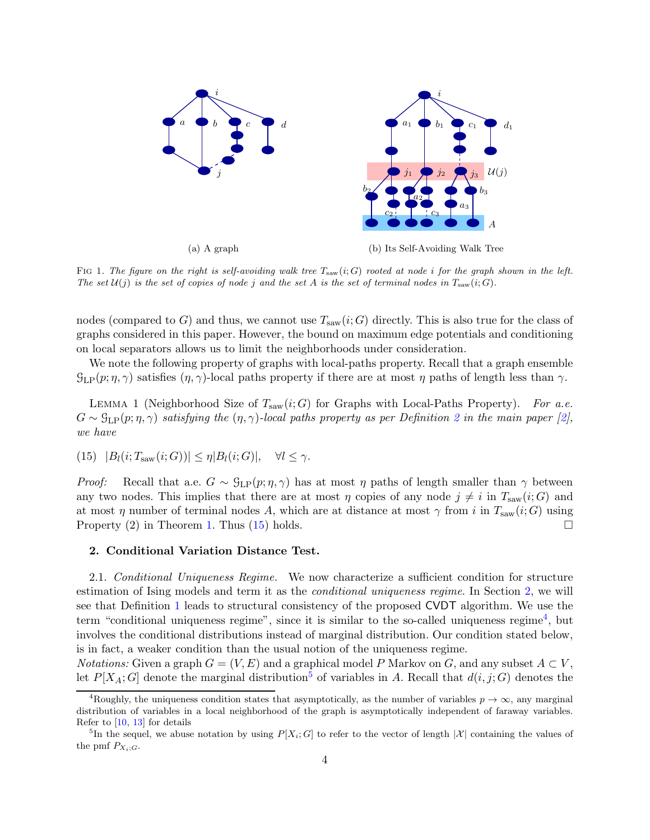

<span id="page-3-0"></span>FIG 1. The figure on the right is self-avoiding walk tree  $T_{\text{sav}}(i;G)$  rooted at node i for the graph shown in the left. The set  $\mathcal{U}(j)$  is the set of copies of node j and the set A is the set of terminal nodes in  $T_{\text{saw}}(i;G)$ .

nodes (compared to G) and thus, we cannot use  $T_{\text{saw}}(i;G)$  directly. This is also true for the class of graphs considered in this paper. However, the bound on maximum edge potentials and conditioning on local separators allows us to limit the neighborhoods under consideration.

We note the following property of graphs with local-paths property. Recall that a graph ensemble  $\mathcal{G}_{\mathrm{LP}}(p;\eta,\gamma)$  satisfies  $(\eta,\gamma)$ -local paths property if there are at most  $\eta$  paths of length less than  $\gamma$ .

<span id="page-3-5"></span>LEMMA 1 (Neighborhood Size of  $T_{\text{saw}}(i; G)$  for Graphs with Local-Paths Property). For a.e.  $G \sim \mathcal{G}_{\text{LP}}(p; \eta, \gamma)$  satisfying the  $(\eta, \gamma)$ -local paths property as per Definition [2](#page-9-0) in the main paper [\[2](#page-21-2)], we have

<span id="page-3-1"></span>(15) 
$$
|B_l(i; T_{\text{saw}}(i; G))| \leq \eta |B_l(i; G)|, \quad \forall l \leq \gamma.
$$

*Proof:* Recall that a.e.  $G \sim \mathcal{G}_{LP}(p;\eta,\gamma)$  has at most  $\eta$  paths of length smaller than  $\gamma$  between any two nodes. This implies that there are at most  $\eta$  copies of any node  $j \neq i$  in  $T_{\text{sav}}(i; G)$  and at most  $\eta$  number of terminal nodes A, which are at distance at most  $\gamma$  from i in  $T_{\text{saw}}(i; G)$  using Property  $(2)$  in Theorem [1.](#page-2-0) Thus  $(15)$  holds.

#### <span id="page-3-6"></span><span id="page-3-2"></span>2. Conditional Variation Distance Test.

2.1. Conditional Uniqueness Regime. We now characterize a sufficient condition for structure estimation of Ising models and term it as the conditional uniqueness regime. In Section [2,](#page-3-2) we will see that Definition [1](#page-4-0) leads to structural consistency of the proposed CVDT algorithm. We use the term "conditional uniqueness regime", since it is similar to the so-called uniqueness regime<sup>[4](#page-3-3)</sup>, but involves the conditional distributions instead of marginal distribution. Our condition stated below, is in fact, a weaker condition than the usual notion of the uniqueness regime.

*Notations:* Given a graph  $G = (V, E)$  and a graphical model P Markov on G, and any subset  $A \subset V$ , let  $P[X_A; G]$  denote the marginal distribution<sup>[5](#page-3-4)</sup> of variables in A. Recall that  $d(i, j; G)$  denotes the

<span id="page-3-3"></span><sup>&</sup>lt;sup>4</sup>Roughly, the uniqueness condition states that asymptotically, as the number of variables  $p \to \infty$ , any marginal distribution of variables in a local neighborhood of the graph is asymptotically independent of faraway variables. Refer to [\[10](#page-21-3), [13](#page-21-4)] for details

<span id="page-3-4"></span><sup>&</sup>lt;sup>5</sup>In the sequel, we abuse notation by using  $P[X_i;G]$  to refer to the vector of length  $|\mathcal{X}|$  containing the values of the pmf  $P_{X_i;G}$ .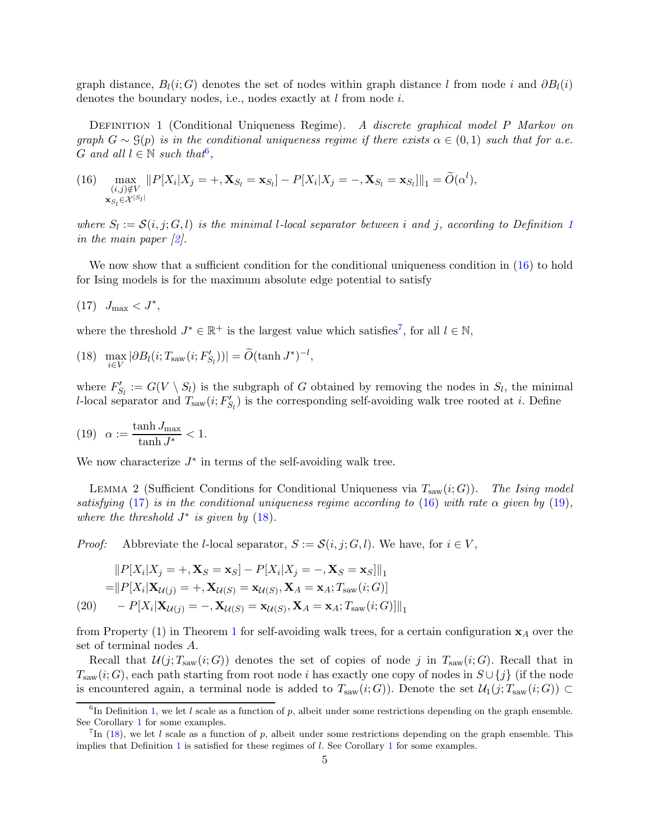graph distance,  $B_l(i; G)$  denotes the set of nodes within graph distance l from node i and  $\partial B_l(i)$ denotes the boundary nodes, i.e., nodes exactly at *l* from node *i*.

<span id="page-4-0"></span>DEFINITION 1 (Conditional Uniqueness Regime). A discrete graphical model P Markov on graph  $G \sim \mathcal{G}(p)$  is in the conditional uniqueness regime if there exists  $\alpha \in (0,1)$  such that for a.e. G and all  $l \in \mathbb{N}$  such that<sup>[6](#page-4-1)</sup>,

<span id="page-4-2"></span>(16) 
$$
\max_{\substack{(i,j)\notin V \\ \mathbf{x}_{S_l}\in\mathcal{X}^{|S_l|}}}\|P[X_i|X_j=+,\mathbf{X}_{S_l}=\mathbf{x}_{S_l}]-P[X_i|X_j=-,\mathbf{X}_{S_l}=\mathbf{x}_{S_l}]\|_1=\widetilde{O}(\alpha^l),
$$

where  $S_l := \mathcal{S}(i, j; G, l)$  is the minimal l-local separator between i and j, according to Definition [1](#page-4-0) in the main paper  $[2]$ .

<span id="page-4-4"></span>We now show that a sufficient condition for the conditional uniqueness condition in [\(16\)](#page-4-2) to hold for Ising models is for the maximum absolute edge potential to satisfy

$$
(17) \quad J_{\text{max}} < J^*,
$$

<span id="page-4-6"></span>where the threshold  $J^* \in \mathbb{R}^+$  is the largest value which satisfies<sup>[7](#page-4-3)</sup>, for all  $l \in \mathbb{N}$ ,

(18) 
$$
\max_{i \in V} |\partial B_l(i; T_{\text{saw}}(i; F'_{S_l}))| = \widetilde{O}(\tanh J^*)^{-l},
$$

<span id="page-4-5"></span>where  $F'_{S_l} := G(V \setminus S_l)$  is the subgraph of G obtained by removing the nodes in  $S_l$ , the minimal l-local separator and  $T_{\text{saw}}(i; F'_{S_l})$  is the corresponding self-avoiding walk tree rooted at i. Define

(19) 
$$
\alpha := \frac{\tanh J_{\text{max}}}{\tanh J^*} < 1.
$$

We now characterize  $J^*$  in terms of the self-avoiding walk tree.

<span id="page-4-8"></span>LEMMA 2 (Sufficient Conditions for Conditional Uniqueness via  $T_{\text{saw}}(i; G)$ ). The Ising model satisfying [\(17\)](#page-4-4) is in the conditional uniqueness regime according to [\(16\)](#page-4-2) with rate  $\alpha$  given by [\(19\)](#page-4-5), where the threshold  $J^*$  is given by  $(18)$ .

*Proof:* Abbreviate the *l*-local separator,  $S := \mathcal{S}(i, j; G, l)$ . We have, for  $i \in V$ ,

$$
||P[X_i|X_j = +, \mathbf{X}_S = \mathbf{x}_S] - P[X_i|X_j = -, \mathbf{X}_S = \mathbf{x}_S]||_1
$$
  
= 
$$
||P[X_i|\mathbf{X}_{\mathcal{U}(j)} = +, \mathbf{X}_{\mathcal{U}(S)} = \mathbf{x}_{\mathcal{U}(S)}, \mathbf{X}_A = \mathbf{x}_A; T_{\text{saw}}(i; G)]
$$
  
(20) 
$$
-P[X_i|\mathbf{X}_{\mathcal{U}(j)} = -, \mathbf{X}_{\mathcal{U}(S)} = \mathbf{x}_{\mathcal{U}(S)}, \mathbf{X}_A = \mathbf{x}_A; T_{\text{saw}}(i; G)]||_1
$$

<span id="page-4-7"></span>from Property ([1](#page-2-0)) in Theorem 1 for self-avoiding walk trees, for a certain configuration  $x_A$  over the set of terminal nodes A.

Recall that  $\mathcal{U}(j; T_{\text{sav}}(i; G))$  denotes the set of copies of node j in  $T_{\text{sav}}(i; G)$ . Recall that in  $T_{\text{saw}}(i; G)$ , each path starting from root node i has exactly one copy of nodes in  $S \cup \{j\}$  (if the node is encountered again, a terminal node is added to  $T_{\text{saw}}(i; G)$ ). Denote the set  $\mathcal{U}_1(j; T_{\text{saw}}(i; G)) \subset$ 

<span id="page-4-1"></span><sup>&</sup>lt;sup>6</sup>In Definition [1,](#page-4-0) we let l scale as a function of p, albeit under some restrictions depending on the graph ensemble. See Corollary [1](#page-6-0) for some examples.

<span id="page-4-3"></span><sup>&</sup>lt;sup>7</sup>In [\(18\)](#page-4-6), we let l scale as a function of p, albeit under some restrictions depending on the graph ensemble. This implies that Definition [1](#page-6-0) is satisfied for these regimes of  $l$ . See Corollary 1 for some examples.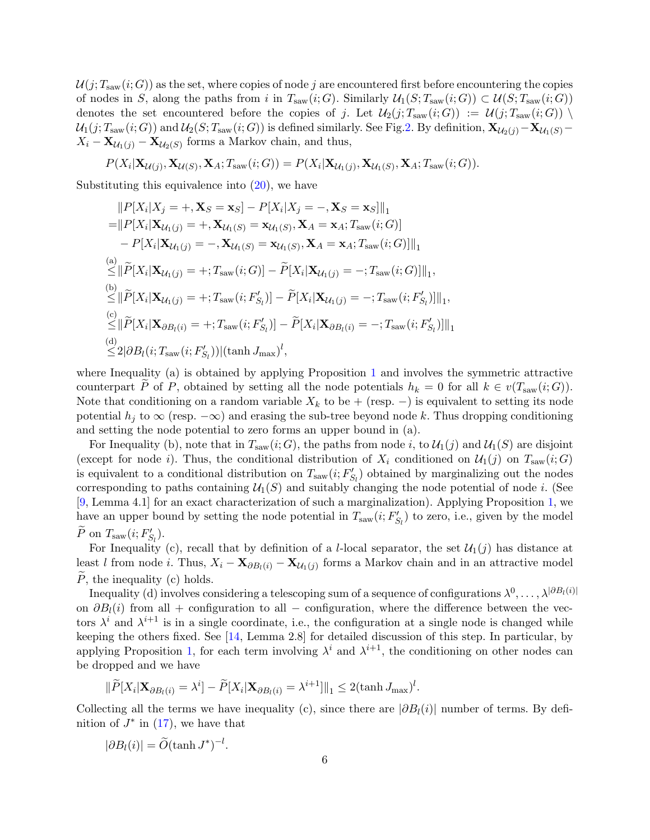$\mathcal{U}(j;T_{\text{saw}}(i;G))$  as the set, where copies of node j are encountered first before encountering the copies of nodes in S, along the paths from i in  $T_{\text{saw}}(i;G)$ . Similarly  $\mathcal{U}_1(S; T_{\text{saw}}(i;G)) \subset \mathcal{U}(S; T_{\text{saw}}(i;G))$ denotes the set encountered before the copies of j. Let  $\mathcal{U}_2(j; T_{saw}(i; G)) := \mathcal{U}(j; T_{saw}(i; G))$  $U_1(j; T_{\text{saw}}(i; G))$  and  $U_2(S; T_{\text{saw}}(i; G))$  is defined similarly. See Fig[.2.](#page-6-1) By definition,  $\mathbf{X}_{\mathcal{U}_2(j)} - \mathbf{X}_{\mathcal{U}_1(S)} X_i - \mathbf{X}_{\mathcal{U}_1(j)} - \mathbf{X}_{\mathcal{U}_2(S)}$  forms a Markov chain, and thus,

$$
P(X_i|\mathbf{X}_{\mathcal{U}(j)}, \mathbf{X}_{\mathcal{U}(S)}, \mathbf{X}_A; T_{\text{saw}}(i;G)) = P(X_i|\mathbf{X}_{\mathcal{U}_1(j)}, \mathbf{X}_{\mathcal{U}_1(S)}, \mathbf{X}_A; T_{\text{saw}}(i;G)).
$$

Substituting this equivalence into  $(20)$ , we have

$$
||P[X_i|X_j = +, \mathbf{X}_S = \mathbf{x}_S] - P[X_i|X_j = -, \mathbf{X}_S = \mathbf{x}_S]||_1
$$
  
\n
$$
= ||P[X_i|\mathbf{X}_{\mathcal{U}_1(j)} = +, \mathbf{X}_{\mathcal{U}_1(S)} = \mathbf{x}_{\mathcal{U}_1(S)}, \mathbf{X}_A = \mathbf{x}_A; T_{\text{saw}}(i; G)]
$$
  
\n
$$
- P[X_i|\mathbf{X}_{\mathcal{U}_1(j)} = -, \mathbf{X}_{\mathcal{U}_1(S)} = \mathbf{x}_{\mathcal{U}_1(S)}, \mathbf{X}_A = \mathbf{x}_A; T_{\text{saw}}(i; G)]||_1
$$
  
\n(a)  
\n
$$
\leq ||\widetilde{P}[X_i|\mathbf{X}_{\mathcal{U}_1(j)} = +; T_{\text{saw}}(i; G)] - \widetilde{P}[X_i|\mathbf{X}_{\mathcal{U}_1(j)} = -; T_{\text{saw}}(i; G)]||_1,
$$
  
\n(b)  
\n
$$
\leq ||\widetilde{P}[X_i|\mathbf{X}_{\mathcal{U}_1(j)} = +; T_{\text{saw}}(i; F'_{S_i})] - \widetilde{P}[X_i|\mathbf{X}_{\mathcal{U}_1(j)} = -; T_{\text{saw}}(i; F'_{S_i})]||_1,
$$
  
\n(c)  
\n
$$
\leq ||\widetilde{P}[X_i|\mathbf{X}_{\partial B_i(i)} = +; T_{\text{saw}}(i; F'_{S_i})] - \widetilde{P}[X_i|\mathbf{X}_{\partial B_i(i)} = -; T_{\text{saw}}(i; F'_{S_i})]||_1
$$
  
\n(d)  
\n
$$
\leq 2|\partial B_i(i; T_{\text{saw}}(i; F'_{S_i}))|(\tanh J_{\text{max}})^l,
$$

where Inequality (a) is obtained by applying Proposition [1](#page-1-5) and involves the symmetric attractive counterpart P of P, obtained by setting all the node potentials  $h_k = 0$  for all  $k \in v(T_{\text{saw}}(i; G))$ . Note that conditioning on a random variable  $X_k$  to be + (resp. –) is equivalent to setting its node potential  $h_i$  to  $\infty$  (resp.  $-\infty$ ) and erasing the sub-tree beyond node k. Thus dropping conditioning and setting the node potential to zero forms an upper bound in (a).

For Inequality (b), note that in  $T_{\text{sav}}(i; G)$ , the paths from node i, to  $\mathcal{U}_1(j)$  and  $\mathcal{U}_1(S)$  are disjoint (except for node i). Thus, the conditional distribution of  $X_i$  conditioned on  $\mathcal{U}_1(j)$  on  $T_{saw}(i;G)$ is equivalent to a conditional distribution on  $T_{\text{saw}}(i; F'_{S_l})$  obtained by marginalizing out the nodes corresponding to paths containing  $\mathcal{U}_1(S)$  and suitably changing the node potential of node *i*. (See [\[9](#page-21-5), Lemma 4.1] for an exact characterization of such a marginalization). Applying Proposition [1,](#page-1-5) we have an upper bound by setting the node potential in  $T_{\text{saw}}(i; F'_{S_l})$  to zero, i.e., given by the model P on  $T_{\text{saw}}(i; F'_{S_l})$ .

For Inequality (c), recall that by definition of a *l*-local separator, the set  $\mathcal{U}_1(j)$  has distance at least l from node i. Thus,  $X_i - \mathbf{X}_{\partial B_i(i)} - \mathbf{X}_{\mathcal{U}_1(j)}$  forms a Markov chain and in an attractive model  $\tilde{P}$ , the inequality (c) holds.

Inequality (d) involves considering a telescoping sum of a sequence of configurations  $\lambda^0,\ldots,\lambda^{|\partial B_l(i)|}$ on  $\partial B_l(i)$  from all + configuration to all – configuration, where the difference between the vectors  $\lambda^i$  and  $\lambda^{i+1}$  is in a single coordinate, i.e., the configuration at a single node is changed while keeping the others fixed. See [\[14,](#page-21-6) Lemma 2.8] for detailed discussion of this step. In particular, by applying Proposition [1,](#page-1-5) for each term involving  $\lambda^i$  and  $\lambda^{i+1}$ , the conditioning on other nodes can be dropped and we have

$$
\|\widetilde{P}[X_i|\mathbf{X}_{\partial B_l(i)} = \lambda^i] - \widetilde{P}[X_i|\mathbf{X}_{\partial B_l(i)} = \lambda^{i+1}]\|_1 \leq 2(\tanh J_{\text{max}})^l.
$$

Collecting all the terms we have inequality (c), since there are  $|\partial B_l(i)|$  number of terms. By definition of  $J^*$  in  $(17)$ , we have that

$$
|\partial B_l(i)| = \widetilde{O}(\tanh J^*)^{-l}.
$$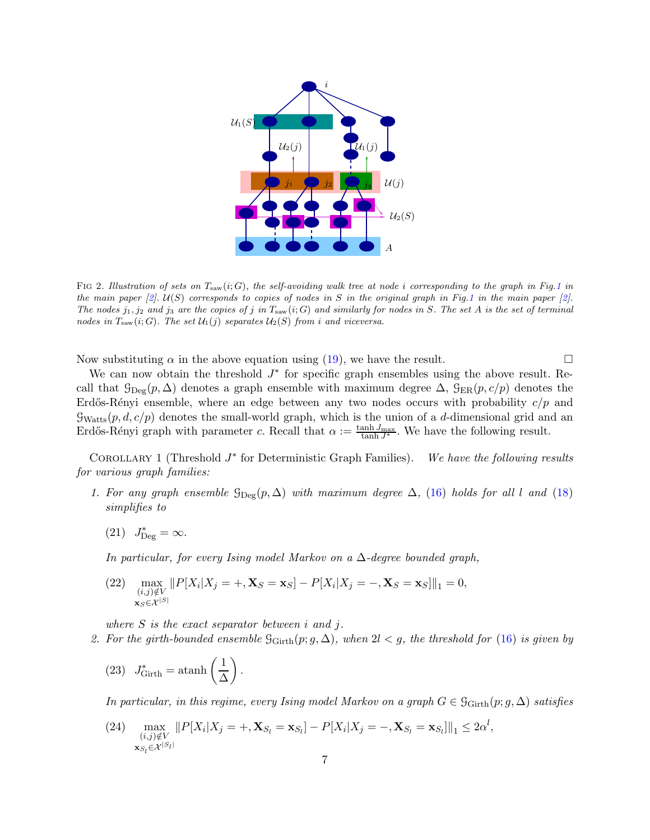

<span id="page-6-1"></span>FIG 2. Illustration of sets on  $T_{\text{sav}}(i;G)$ , the self-avoiding walk tree at node i corresponding to the graph in Fig[.1](#page-3-0) in the main paper [\[2](#page-21-2)].  $U(S)$  corresponds to copies of nodes in S in the original graph in Fig[.1](#page-3-0) in the main paper [2]. The nodes  $j_1, j_2$  and  $j_3$  are the copies of j in  $T_{\text{sav}}(i; G)$  and similarly for nodes in S. The set A is the set of terminal nodes in  $T_{\text{sav}}(i;G)$ . The set  $\mathcal{U}_1(j)$  separates  $\mathcal{U}_2(S)$  from i and viceversa.

Now substituting  $\alpha$  in the above equation using [\(19\)](#page-4-5), we have the result.

We can now obtain the threshold  $J^*$  for specific graph ensembles using the above result. Recall that  $\mathcal{G}_{\text{Deg}}(p,\Delta)$  denotes a graph ensemble with maximum degree  $\Delta$ ,  $\mathcal{G}_{\text{ER}}(p,c/p)$  denotes the Erdős-Rényi ensemble, where an edge between any two nodes occurs with probability  $c/p$  and  $\mathcal{G}_{Watts}(p, d, c/p)$  denotes the small-world graph, which is the union of a d-dimensional grid and an Erdős-Rényi graph with parameter c. Recall that  $\alpha := \frac{\tanh J_{\text{max}}}{\tanh J^*}$ . We have the following result.

<span id="page-6-0"></span>COROLLARY 1 (Threshold  $J^*$  for Deterministic Graph Families). We have the following results for various graph families:

- <span id="page-6-2"></span>1. For any graph ensemble  $\mathcal{G}_{\text{Dec}}(p,\Delta)$  with maximum degree  $\Delta$ , [\(16\)](#page-4-2) holds for all l and [\(18\)](#page-4-6) simplifies to
	- (21)  $J_{\text{Deg}}^* = \infty$ .

In particular, for every Ising model Markov on a  $\Delta$ -degree bounded graph,

(22) 
$$
\max_{\substack{(i,j)\notin V \\ \mathbf{x}_S \in \mathcal{X}^{|S|}}} \|P[X_i|X_j = +, \mathbf{X}_S = \mathbf{x}_S] - P[X_i|X_j = -, \mathbf{X}_S = \mathbf{x}_S]\|_1 = 0,
$$

<span id="page-6-3"></span>where  $S$  is the exact separator between  $i$  and  $j$ .

2. For the girth-bounded ensemble  $\mathcal{G}_{\text{Girth}}(p; g, \Delta)$ , when  $2l < g$ , the threshold for [\(16\)](#page-4-2) is given by

(23) 
$$
J_{\text{Girth}}^* = \operatorname{atanh}\left(\frac{1}{\Delta}\right).
$$

In particular, in this regime, every Ising model Markov on a graph  $G \in \mathcal{G}_{\text{Girth}}(p; g, \Delta)$  satisfies

(24)  $\max_{(i,j)\notin V} ||P[X_i|X_j = +, \mathbf{X}_{S_l} = \mathbf{x}_{S_l}] - P[X_i|X_j = -, \mathbf{X}_{S_l} = \mathbf{x}_{S_l}]||_1 \leq 2\alpha^l,$  $(i,j)\notin V$  $\mathbf{x}_{S_{l}}{\in}\mathcal{X}^{\left|S_{l}\right|}$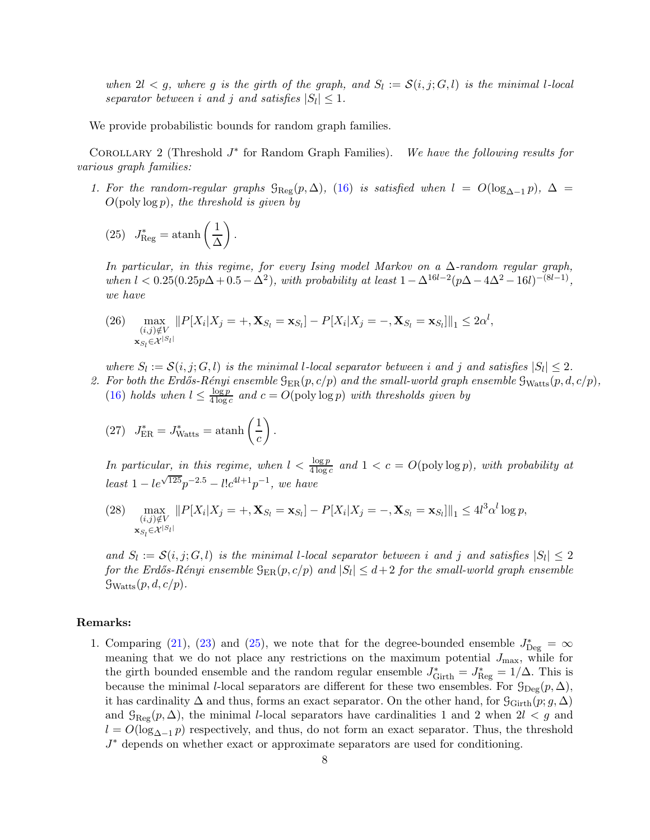when  $2l < g$ , where g is the girth of the graph, and  $S_l := \mathcal{S}(i, j; G, l)$  is the minimal l-local separator between i and j and satisfies  $|S_l| \leq 1$ .

We provide probabilistic bounds for random graph families.

<span id="page-7-3"></span>COROLLARY 2 (Threshold  $J^*$ We have the following results for various graph families:

1. For the random-regular graphs  $\mathcal{G}_{\text{Reg}}(p,\Delta)$ , [\(16\)](#page-4-2) is satisfied when  $l = O(\log_{\Delta-1} p)$ ,  $\Delta =$  $O(\text{poly}\log p)$ , the threshold is given by

<span id="page-7-0"></span>(25) 
$$
J_{\text{Reg}}^* = \operatorname{atanh}\left(\frac{1}{\Delta}\right).
$$

In particular, in this regime, for every Ising model Markov on a  $\Delta$ -random regular graph, when  $l < 0.25(0.25p\Delta + 0.5 - \Delta^2)$ , with probability at least  $1 - \Delta^{16l-2}(p\Delta - 4\Delta^2 - 16l)^{-(8l-1)}$ , we have

<span id="page-7-2"></span>(26) max  $(i,j)\notin V$  $\mathbf{x}_{S_l} \in \mathcal{X}^{|S_l|}$  $||P[X_i|X_j = +, \mathbf{X}_{S_l} = \mathbf{x}_{S_l}] - P[X_i|X_j = -, \mathbf{X}_{S_l} = \mathbf{x}_{S_l}]||_1 \leq 2\alpha^l,$ 

<span id="page-7-1"></span>where  $S_l := \mathcal{S}(i, j; G, l)$  is the minimal l-local separator between i and j and satisfies  $|S_l| \leq 2$ .

- 2. For both the Erdős-Rényi ensemble  $\mathcal{G}_{\text{ER}}(p, c/p)$  and the small-world graph ensemble  $\mathcal{G}_{\text{Watts}}(p, d, c/p)$ ,  $(16)$  holds when  $l \leq \frac{\log p}{4 \log p}$  $rac{\log p}{4 \log c}$  and  $c = O(\text{poly}\log p)$  with thresholds given by
	- (27)  $J_{\text{ER}}^* = J_{\text{Watts}}^* = \text{atanh}\left(\frac{1}{c}\right)$ c  $\overline{ }$ .

In particular, in this regime, when  $l < \frac{\log p}{4 \log c}$  and  $1 < c = O(\text{poly}\log p)$ , with probability at  $least\ 1-le^{\sqrt{125}}p^{-2.5}-l!c^{4l+1}p^{-1},\ we\ have$ 

(28) max  $(i,j)\notin V$  $\mathbf{x}_{S_{l}}\in\mathcal{X}^{\left|S_{l}\right|}$  $||P[X_i|X_j = +, \mathbf{X}_{S_l} = \mathbf{x}_{S_l}] - P[X_i|X_j = -, \mathbf{X}_{S_l} = \mathbf{x}_{S_l}]||_1 \le 4l^3\alpha^l \log p,$ 

and  $S_l := \mathcal{S}(i, j; G, l)$  is the minimal l-local separator between i and j and satisfies  $|S_l| \leq 2$ for the Erdős-Rényi ensemble  $\mathcal{G}_{\mathrm{ER}}(p,c/p)$  and  $|S_l|\leq d+2$  for the small-world graph ensemble  $\mathcal{G}_{Watts}(p, d, c/p).$ 

### Remarks:

1. Comparing [\(21\)](#page-6-2), [\(23\)](#page-6-3) and [\(25\)](#page-7-0), we note that for the degree-bounded ensemble  $J_{\text{Deg}}^* = \infty$ meaning that we do not place any restrictions on the maximum potential  $J_{\text{max}}$ , while for the girth bounded ensemble and the random regular ensemble  $J_{\text{Girth}}^* = J_{\text{Reg}}^* = 1/\Delta$ . This is because the minimal *l*-local separators are different for these two ensembles. For  $\mathcal{G}_{\text{Deg}}(p,\Delta)$ , it has cardinality  $\Delta$  and thus, forms an exact separator. On the other hand, for  $\mathcal{G}_{\text{Girth}}(p; g, \Delta)$ and  $\mathcal{G}_{\text{Reg}}(p,\Delta)$ , the minimal l-local separators have cardinalities 1 and 2 when  $2l < g$  and  $l = O(\log_{\Delta-1} p)$  respectively, and thus, do not form an exact separator. Thus, the threshold J ∗ depends on whether exact or approximate separators are used for conditioning.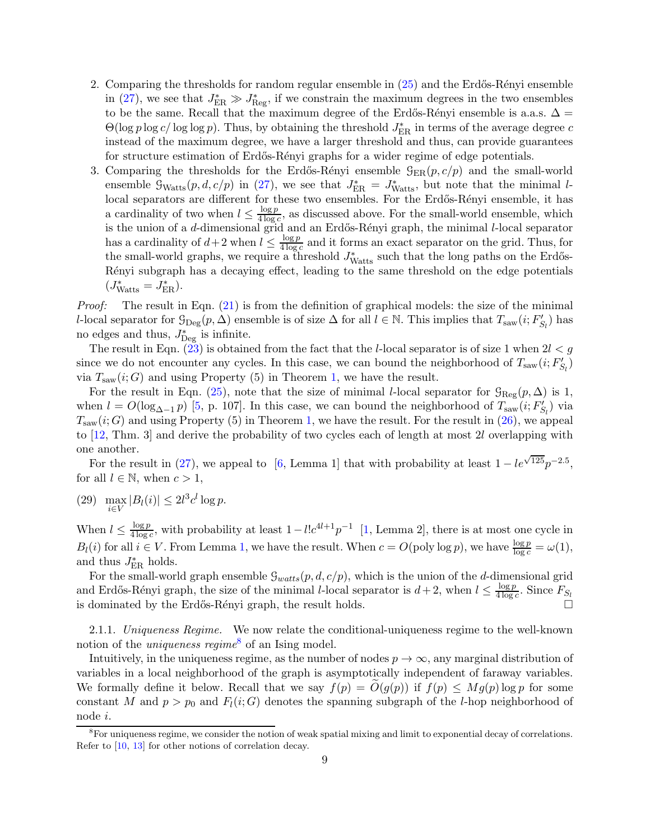- 2. Comparing the thresholds for random regular ensemble in  $(25)$  and the Erdős-Rényi ensemble in [\(27\)](#page-7-1), we see that  $J_{\text{ER}}^* \gg J_{\text{Reg}}^*$ , if we constrain the maximum degrees in the two ensembles to be the same. Recall that the maximum degree of the Erdős-Rényi ensemble is a.a.s.  $\Delta =$  $\Theta(\log p \log c / \log \log p)$ . Thus, by obtaining the threshold  $J_{\rm ER}^*$  in terms of the average degree  $c$ instead of the maximum degree, we have a larger threshold and thus, can provide guarantees for structure estimation of Erdős-Rényi graphs for a wider regime of edge potentials.
- 3. Comparing the thresholds for the Erdős-Rényi ensemble  $\mathcal{G}_{ER}(p, c/p)$  and the small-world ensemble  $\mathcal{G}_{Watts}(p, d, c/p)$  in [\(27\)](#page-7-1), we see that  $J_{\text{ER}}^* = J_{Watts}^*$ , but note that the minimal llocal separators are different for these two ensembles. For the Erdős-Rényi ensemble, it has a cardinality of two when  $l \leq \frac{\log p}{4 \log p}$  $\frac{\log p}{4 \log c}$ , as discussed above. For the small-world ensemble, which is the union of a *d*-dimensional grid and an Erdős-Rényi graph, the minimal *l*-local separator has a cardinality of  $d+2$  when  $l \leq \frac{\log p}{4 \log p}$  $\frac{\log p}{4 \log c}$  and it forms an exact separator on the grid. Thus, for the small-world graphs, we require a threshold  $J_{\text{Watts}}^*$  such that the long paths on the Erdős-Rényi subgraph has a decaying effect, leading to the same threshold on the edge potentials  $(J_{\text{Watts}}^* = J_{\text{ER}}^*).$

Proof: The result in Eqn. [\(21\)](#page-6-2) is from the definition of graphical models: the size of the minimal l-local separator for  $\mathcal{G}_{\text{Deg}}(p,\Delta)$  ensemble is of size  $\Delta$  for all  $l \in \mathbb{N}$ . This implies that  $T_{\text{saw}}(i;F'_{S_l})$  has no edges and thus,  $J_{\text{Deg}}^*$  is infinite.

The result in Eqn.  $(23)$  is obtained from the fact that the *l*-local separator is of size 1 when  $2l < g$ since we do not encounter any cycles. In this case, we can bound the neighborhood of  $T_{\text{saw}}(i; F'_{S_l})$ via  $T_{\text{saw}}(i; G)$  and using Property (5) in Theorem [1,](#page-2-0) we have the result.

For the result in Eqn. [\(25\)](#page-7-0), note that the size of minimal l-local separator for  $\mathcal{G}_{\text{Reg}}(p,\Delta)$  is 1, when  $l = O(\log_{\Delta-1} p)$  [\[5](#page-21-7), p. 107]. In this case, we can bound the neighborhood of  $T_{\text{saw}}(i; F'_{S_l})$  via  $T_{\text{saw}}(i; G)$  and using Property (5) in Theorem [1,](#page-2-0) we have the result. For the result in [\(26\)](#page-7-2), we appeal to [\[12](#page-21-8), Thm. 3] and derive the probability of two cycles each of length at most 2l overlapping with one another.

For the result in [\(27\)](#page-7-1), we appeal to [\[6,](#page-21-9) Lemma 1] that with probability at least  $1 - le^{\sqrt{125}}p^{-2.5}$ , for all  $l \in \mathbb{N}$ , when  $c > 1$ ,

(29) max  $\max_{i\in V} |B_l(i)| \leq 2l^3c^l \log p.$ 

When  $l \leq \frac{\log p}{4 \log p}$  $\frac{\log p}{4 \log c}$ , with probability at least  $1 - l! c^{4l+1} p^{-1}$  [\[1,](#page-21-10) Lemma 2], there is at most one cycle in  $B_l(i)$  for all  $i \in V$ . From Lemma [1,](#page-3-5) we have the result. When  $c = O(\text{poly} \log p)$ , we have  $\frac{\log p}{\log c} = \omega(1)$ , and thus  $J_{\text{ER}}^*$  holds.

For the small-world graph ensemble  $\mathcal{G}_{watts}(p, d, c/p)$ , which is the union of the d-dimensional grid and Erdős-Rényi graph, the size of the minimal *l*-local separator is  $d+2$ , when  $l \leq \frac{\log p}{4 \log q}$  $\frac{\log p}{4 \log c}$ . Since  $F_{S_l}$ is dominated by the Erdős-Rényi graph, the result holds.  $\Box$ 

2.1.1. Uniqueness Regime. We now relate the conditional-uniqueness regime to the well-known notion of the *uniqueness regime*<sup>[8](#page-8-0)</sup> of an Ising model.

Intuitively, in the uniqueness regime, as the number of nodes  $p \to \infty$ , any marginal distribution of variables in a local neighborhood of the graph is asymptotically independent of faraway variables. We formally define it below. Recall that we say  $f(p) = O(g(p))$  if  $f(p) \leq Mg(p) \log p$  for some constant M and  $p > p_0$  and  $F_l(i; G)$  denotes the spanning subgraph of the l-hop neighborhood of node i.

<span id="page-8-0"></span><sup>&</sup>lt;sup>8</sup>For uniqueness regime, we consider the notion of weak spatial mixing and limit to exponential decay of correlations. Refer to [\[10](#page-21-3), [13](#page-21-4)] for other notions of correlation decay.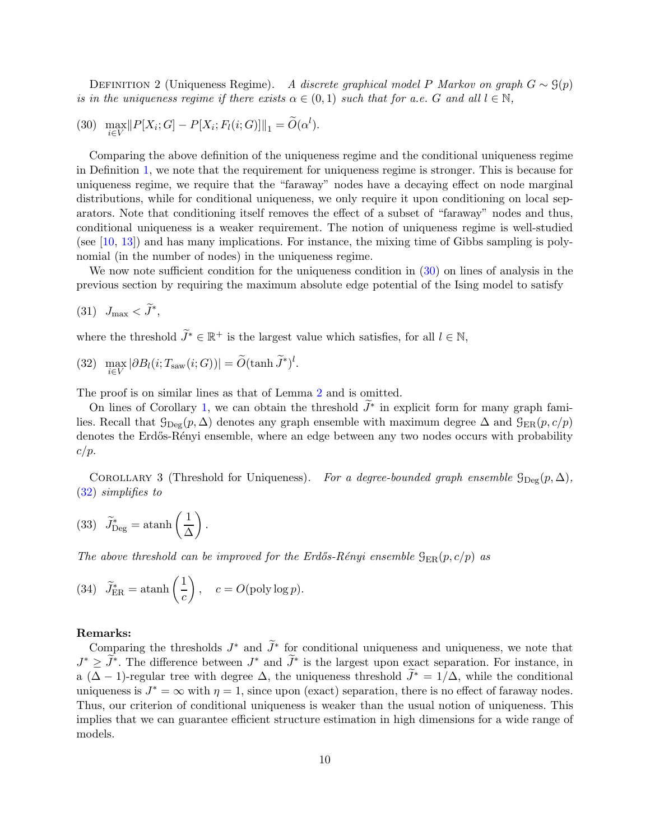<span id="page-9-1"></span><span id="page-9-0"></span>DEFINITION 2 (Uniqueness Regime). A discrete graphical model P Markov on graph  $G \sim \mathcal{G}(p)$ is in the uniqueness regime if there exists  $\alpha \in (0,1)$  such that for a.e. G and all  $l \in \mathbb{N}$ ,

(30) 
$$
\max_{i \in V} ||P[X_i; G] - P[X_i; F_l(i; G)]||_1 = \widetilde{O}(\alpha^l).
$$

Comparing the above definition of the uniqueness regime and the conditional uniqueness regime in Definition [1,](#page-4-0) we note that the requirement for uniqueness regime is stronger. This is because for uniqueness regime, we require that the "faraway" nodes have a decaying effect on node marginal distributions, while for conditional uniqueness, we only require it upon conditioning on local separators. Note that conditioning itself removes the effect of a subset of "faraway" nodes and thus, conditional uniqueness is a weaker requirement. The notion of uniqueness regime is well-studied (see  $[10, 13]$  $[10, 13]$  $[10, 13]$ ) and has many implications. For instance, the mixing time of Gibbs sampling is polynomial (in the number of nodes) in the uniqueness regime.

We now note sufficient condition for the uniqueness condition in  $(30)$  on lines of analysis in the previous section by requiring the maximum absolute edge potential of the Ising model to satisfy

$$
(31) \quad J_{\text{max}} < \ddot{J}^*,
$$

<span id="page-9-2"></span>where the threshold  $\widetilde{J}^* \in \mathbb{R}^+$  is the largest value which satisfies, for all  $l \in \mathbb{N}$ ,

(32) 
$$
\max_{i \in V} |\partial B_l(i; T_{\text{sav}}(i; G))| = \widetilde{O}(\tanh \widetilde{J}^*)^l.
$$

The proof is on similar lines as that of Lemma [2](#page-4-8) and is omitted.

On lines of Corollary [1,](#page-6-0) we can obtain the threshold  $J^*$  in explicit form for many graph families. Recall that  $\mathcal{G}_{\text{Dec}}(p, \Delta)$  denotes any graph ensemble with maximum degree  $\Delta$  and  $\mathcal{G}_{\text{ER}}(p, c/p)$ denotes the Erdős-Rényi ensemble, where an edge between any two nodes occurs with probability  $c/p$ .

COROLLARY 3 (Threshold for Uniqueness). For a degree-bounded graph ensemble  $\mathcal{G}_{\text{Deg}}(p,\Delta)$ , [\(32\)](#page-9-2) simplifies to

(33) 
$$
\widetilde{J}_{\text{Deg}}^* = \operatorname{atanh}\left(\frac{1}{\Delta}\right).
$$

The above threshold can be improved for the Erdős-Rényi ensemble  $\mathcal{G}_{ER}(p, c/p)$  as

(34) 
$$
\widetilde{J}_{\text{ER}}^* = \operatorname{atanh}\left(\frac{1}{c}\right)
$$
,  $c = O(\text{poly}\log p)$ .

### Remarks:

Comparing the thresholds  $J^*$  and  $J^*$  for conditional uniqueness and uniqueness, we note that  $J^* \geq J^*$ . The difference between  $J^*$  and  $J^*$  is the largest upon exact separation. For instance, in a ( $\Delta - 1$ )-regular tree with degree  $\Delta$ , the uniqueness threshold  $\widetilde{J}^* = 1/\Delta$ , while the conditional uniqueness is  $J^* = \infty$  with  $\eta = 1$ , since upon (exact) separation, there is no effect of faraway nodes. Thus, our criterion of conditional uniqueness is weaker than the usual notion of uniqueness. This implies that we can guarantee efficient structure estimation in high dimensions for a wide range of models.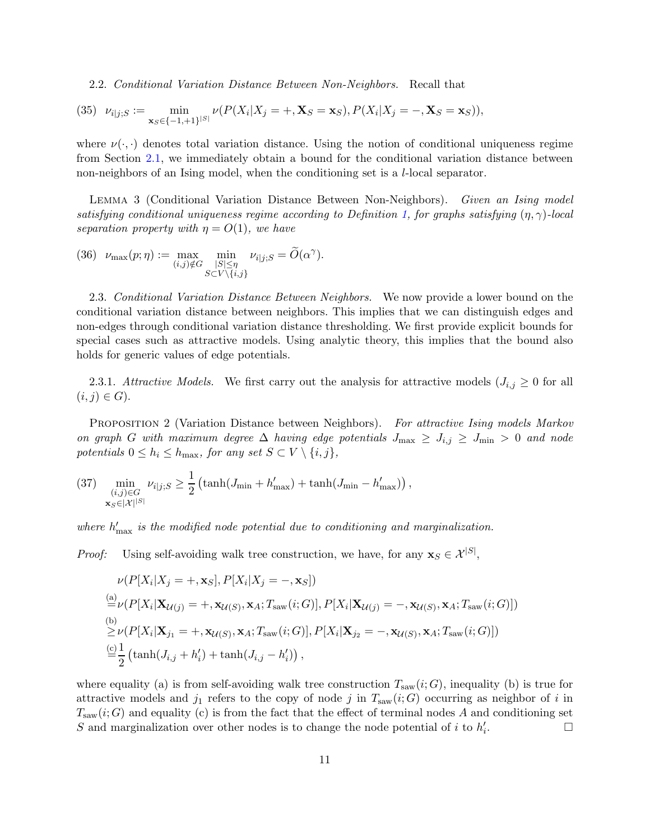2.2. Conditional Variation Distance Between Non-Neighbors. Recall that

(35) 
$$
\nu_{i|j;S} := \min_{\mathbf{x}_S \in \{-1, +1\}^{|S|}} \nu(P(X_i | X_j = +, \mathbf{X}_S = \mathbf{x}_S), P(X_i | X_j = -, \mathbf{X}_S = \mathbf{x}_S)),
$$

where  $\nu(\cdot, \cdot)$  denotes total variation distance. Using the notion of conditional uniqueness regime from Section [2.1,](#page-3-6) we immediately obtain a bound for the conditional variation distance between non-neighbors of an Ising model, when the conditioning set is a l-local separator.

<span id="page-10-0"></span>Lemma 3 (Conditional Variation Distance Between Non-Neighbors). Given an Ising model satisfying conditional uniqueness regime according to Definition [1,](#page-4-0) for graphs satisfying  $(\eta, \gamma)$ -local separation property with  $\eta = O(1)$ , we have

(36) 
$$
\nu_{\max}(p;\eta) := \max_{(i,j)\notin G} \min_{\substack{|S| \leq \eta \\ S \subset V\setminus\{i,j\}}} \nu_{i|j;S} = \widetilde{O}(\alpha^{\gamma}).
$$

2.3. Conditional Variation Distance Between Neighbors. We now provide a lower bound on the conditional variation distance between neighbors. This implies that we can distinguish edges and non-edges through conditional variation distance thresholding. We first provide explicit bounds for special cases such as attractive models. Using analytic theory, this implies that the bound also holds for generic values of edge potentials.

2.3.1. Attractive Models. We first carry out the analysis for attractive models  $(J_{i,j} \geq 0$  for all  $(i, j) \in G$ ).

PROPOSITION 2 (Variation Distance between Neighbors). For attractive Ising models Markov on graph G with maximum degree  $\Delta$  having edge potentials  $J_{\text{max}} \ge J_{i,j} \ge J_{\text{min}} > 0$  and node potentials  $0 \leq h_i \leq h_{\text{max}}$ , for any set  $S \subset V \setminus \{i, j\}$ ,

(37) 
$$
\min_{\substack{(i,j)\in G\\ \mathbf{x}_{S}\in |\mathcal{X}|^{|S|}}}\nu_{i|j;S} \geq \frac{1}{2} \left(\tanh(J_{\min} + h'_{\max}) + \tanh(J_{\min} - h'_{\max})\right),
$$

where  $h'_{\text{max}}$  is the modified node potential due to conditioning and marginalization.

*Proof:* Using self-avoiding walk tree construction, we have, for any  $\mathbf{x}_S \in \mathcal{X}^{|S|}$ ,

$$
\nu(P[X_i|X_j = +, \mathbf{x}_S], P[X_i|X_j = -, \mathbf{x}_S])
$$
\n
$$
\stackrel{(a)}{=} \nu(P[X_i|\mathbf{X}_{\mathcal{U}(j)} = +, \mathbf{x}_{\mathcal{U}(S)}, \mathbf{x}_A; T_{\text{saw}}(i; G)], P[X_i|\mathbf{X}_{\mathcal{U}(j)} = -, \mathbf{x}_{\mathcal{U}(S)}, \mathbf{x}_A; T_{\text{saw}}(i; G)])
$$
\n
$$
\stackrel{(b)}{\geq} \nu(P[X_i|\mathbf{X}_{j_1} = +, \mathbf{x}_{\mathcal{U}(S)}, \mathbf{x}_A; T_{\text{saw}}(i; G)], P[X_i|\mathbf{X}_{j_2} = -, \mathbf{x}_{\mathcal{U}(S)}, \mathbf{x}_A; T_{\text{saw}}(i; G)])
$$
\n
$$
\stackrel{(c)}{=} \frac{1}{2} (\tanh(J_{i,j} + h'_i) + \tanh(J_{i,j} - h'_i)),
$$

where equality (a) is from self-avoiding walk tree construction  $T_{\text{saw}}(i; G)$ , inequality (b) is true for attractive models and  $j_1$  refers to the copy of node j in  $T_{\text{saw}}(i; G)$  occurring as neighbor of i in  $T_{\text{saw}}(i;G)$  and equality (c) is from the fact that the effect of terminal nodes A and conditioning set S and marginalization over other nodes is to change the node potential of i to  $h'_i$ . — Первый профессиональный стандарт и профессиональный стандарт и профессиональный стандарт и профессиональны<br>В собстановки профессиональный стандарт и профессиональный стандарт и профессиональный стандарт и профессионал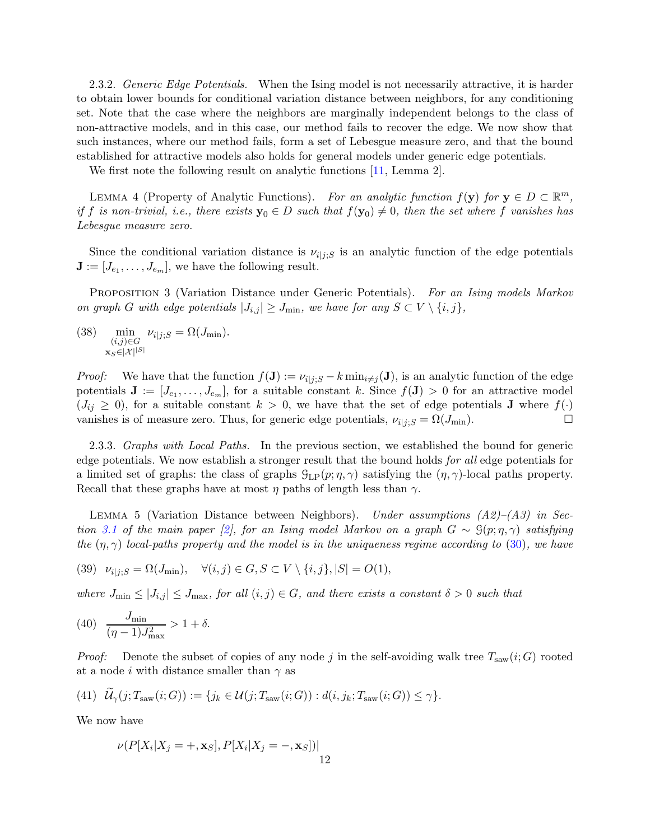2.3.2. Generic Edge Potentials. When the Ising model is not necessarily attractive, it is harder to obtain lower bounds for conditional variation distance between neighbors, for any conditioning set. Note that the case where the neighbors are marginally independent belongs to the class of non-attractive models, and in this case, our method fails to recover the edge. We now show that such instances, where our method fails, form a set of Lebesgue measure zero, and that the bound established for attractive models also holds for general models under generic edge potentials.

We first note the following result on analytic functions [\[11](#page-21-11), Lemma 2].

LEMMA 4 (Property of Analytic Functions). For an analytic function  $f(\mathbf{y})$  for  $\mathbf{y} \in D \subset \mathbb{R}^m$ , if f is non-trivial, i.e., there exists  $y_0 \in D$  such that  $f(y_0) \neq 0$ , then the set where f vanishes has Lebesgue measure zero.

Since the conditional variation distance is  $\nu_{ij;s}$  is an analytic function of the edge potentials  $\mathbf{J} := [J_{e_1}, \ldots, J_{e_m}],$  we have the following result.

PROPOSITION 3 (Variation Distance under Generic Potentials). For an Ising models Markov on graph G with edge potentials  $|J_{i,j}| \geq J_{\min}$ , we have for any  $S \subset V \setminus \{i,j\},$ 

(38) 
$$
\min_{\substack{(i,j)\in G\\ \mathbf{x}_S\in|\mathcal{X}|^{|S|}}}\nu_{i|j;S}=\Omega(J_{\min}).
$$

*Proof:* We have that the function  $f(\mathbf{J}) := \nu_{i|j;S} - k \min_{i \neq j}(\mathbf{J})$ , is an analytic function of the edge potentials  $J := [J_{e_1}, \ldots, J_{e_m}]$ , for a suitable constant k. Since  $f(J) > 0$  for an attractive model  $(J_{ij} \geq 0)$ , for a suitable constant  $k > 0$ , we have that the set of edge potentials **J** where  $f(\cdot)$ vanishes is of measure zero. Thus, for generic edge potentials,  $\nu_{i|j;S} = \Omega(J_{\min})$ .

2.3.3. Graphs with Local Paths. In the previous section, we established the bound for generic edge potentials. We now establish a stronger result that the bound holds for all edge potentials for a limited set of graphs: the class of graphs  $\mathcal{G}_{LP}(p; \eta, \gamma)$  satisfying the  $(\eta, \gamma)$ -local paths property. Recall that these graphs have at most  $\eta$  paths of length less than  $\gamma$ .

<span id="page-11-1"></span>LEMMA 5 (Variation Distance between Neighbors). Under assumptions  $(A2)$ – $(A3)$  in Sec-tion [3.1](#page-12-0) of the main paper [\[2](#page-21-2)], for an Ising model Markov on a graph  $G \sim \mathcal{G}(p; \eta, \gamma)$  satisfying the  $(\eta, \gamma)$  local-paths property and the model is in the uniqueness regime according to [\(30\)](#page-9-1), we have

(39) 
$$
\nu_{i|j;S} = \Omega(J_{\min}), \quad \forall (i,j) \in G, S \subset V \setminus \{i,j\}, |S| = O(1),
$$

where  $J_{\min} \leq |J_{i,j}| \leq J_{\max}$ , for all  $(i,j) \in G$ , and there exists a constant  $\delta > 0$  such that

(40) 
$$
\frac{J_{\min}}{(\eta - 1)J_{\max}^2} > 1 + \delta.
$$

*Proof:* Denote the subset of copies of any node j in the self-avoiding walk tree  $T_{\text{saw}}(i;G)$  rooted at a node i with distance smaller than  $\gamma$  as

(41) 
$$
\mathcal{U}_{\gamma}(j; T_{\text{saw}}(i; G)) := \{j_k \in \mathcal{U}(j; T_{\text{saw}}(i; G)) : d(i, j_k; T_{\text{saw}}(i; G)) \leq \gamma\}.
$$

We now have

<span id="page-11-0"></span>
$$
\nu(P[X_i|X_j = +, \mathbf{x}_S], P[X_i|X_j = -, \mathbf{x}_S])|
$$
12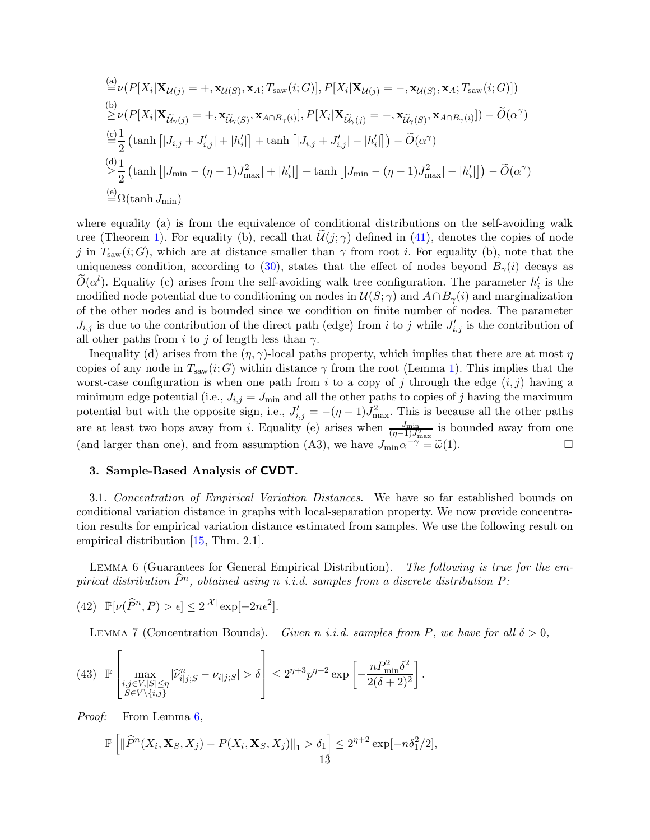$$
\begin{split}\n&\stackrel{\text{(a)}}{=} \nu(P[X_i|\mathbf{X}_{\mathcal{U}(j)} = +, \mathbf{x}_{\mathcal{U}(S)}, \mathbf{x}_A; T_{\text{saw}}(i;G)], P[X_i|\mathbf{X}_{\mathcal{U}(j)} = -, \mathbf{x}_{\mathcal{U}(S)}, \mathbf{x}_A; T_{\text{saw}}(i;G)]) \\
&\stackrel{\text{(b)}}{\geq} \nu(P[X_i|\mathbf{X}_{\widetilde{\mathcal{U}}_{\gamma}(j)} = +, \mathbf{x}_{\widetilde{\mathcal{U}}_{\gamma}(S)}, \mathbf{x}_{A \cap B_{\gamma}(i)}], P[X_i|\mathbf{X}_{\widetilde{\mathcal{U}}_{\gamma}(j)} = -, \mathbf{x}_{\widetilde{\mathcal{U}}_{\gamma}(S)}, \mathbf{x}_{A \cap B_{\gamma}(i)}]) - \widetilde{O}(\alpha^{\gamma}) \\
&\stackrel{\text{(c)}}{=} \frac{1}{2} \left( \tanh\left[ |J_{i,j} + J'_{i,j}| + |h'_i| \right] + \tanh\left[ |J_{i,j} + J'_{i,j}| - |h'_i| \right] \right) - \widetilde{O}(\alpha^{\gamma}) \\
&\stackrel{\text{(d)}}{\geq} \frac{1}{2} \left( \tanh\left[ |J_{\min} - (\eta - 1)J_{\max}^2| + |h'_i| \right] + \tanh\left[ |J_{\min} - (\eta - 1)J_{\max}^2| - |h'_i| \right] \right) - \widetilde{O}(\alpha^{\gamma}) \\
&\stackrel{\text{(e)}}{=} \Omega(\tanh J_{\min})\n\end{split}
$$

where equality (a) is from the equivalence of conditional distributions on the self-avoiding walk tree (Theorem [1\)](#page-2-0). For equality (b), recall that  $\mathcal{U}(j;\gamma)$  defined in [\(41\)](#page-11-0), denotes the copies of node j in  $T_{\text{saw}}(i; G)$ , which are at distance smaller than  $\gamma$  from root i. For equality (b), note that the uniqueness condition, according to [\(30\)](#page-9-1), states that the effect of nodes beyond  $B_{\gamma}(i)$  decays as  $\tilde{O}(\alpha^l)$ . Equality (c) arises from the self-avoiding walk tree configuration. The parameter  $h'_i$  is the modified node potential due to conditioning on nodes in  $\mathcal{U}(S; \gamma)$  and  $A \cap B_{\gamma}(i)$  and marginalization of the other nodes and is bounded since we condition on finite number of nodes. The parameter  $J_{i,j}$  is due to the contribution of the direct path (edge) from i to j while  $J'_{i,j}$  is the contribution of all other paths from i to j of length less than  $\gamma$ .

Inequality (d) arises from the  $(\eta, \gamma)$ -local paths property, which implies that there are at most  $\eta$ copies of any node in  $T_{\text{saw}}(i; G)$  within distance  $\gamma$  from the root (Lemma [1\)](#page-3-5). This implies that the worst-case configuration is when one path from i to a copy of j through the edge  $(i, j)$  having a minimum edge potential (i.e.,  $J_{i,j} = J_{\text{min}}$  and all the other paths to copies of j having the maximum potential but with the opposite sign, i.e.,  $J'_{i,j} = -(\eta - 1)J_{\text{max}}^2$ . This is because all the other paths are at least two hops away from *i*. Equality (e) arises when  $\frac{J_{\min}}{(\eta-1)J_{\max}^2}$  is bounded away from one (and larger than one), and from assumption (A3), we have  $J_{\text{min}}\alpha^{-\gamma} = \tilde{\omega}(1)$ .  $\overline{\gamma} = \widetilde{\omega}(1).$ 

### 3. Sample-Based Analysis of CVDT.

<span id="page-12-0"></span>3.1. Concentration of Empirical Variation Distances. We have so far established bounds on conditional variation distance in graphs with local-separation property. We now provide concentration results for empirical variation distance estimated from samples. We use the following result on empirical distribution [\[15,](#page-21-12) Thm. 2.1].

<span id="page-12-1"></span>LEMMA 6 (Guarantees for General Empirical Distribution). The following is true for the empirical distribution  $\widehat{P}^n$ , obtained using n i.i.d. samples from a discrete distribution P:

(42)  $\mathbb{P}[\nu(\widehat{P}^n, P) > \epsilon] \leq 2^{|\mathcal{X}|} \exp[-2n\epsilon^2].$ 

<span id="page-12-3"></span>LEMMA 7 (Concentration Bounds). Given n i.i.d. samples from P, we have for all  $\delta > 0$ ,

$$
(43) \mathbb{P}\left[\max_{\substack{i,j\in V,|S|\leq\eta\\S\in V\setminus\{i,j\}}}\left|\widehat{\nu}_{i|j;S}^n-\nu_{i|j;S}\right|>\delta\right] \leq 2^{\eta+3}p^{\eta+2}\exp\left[-\frac{nP_{\min}^2\delta^2}{2(\delta+2)^2}\right].
$$

Proof: From Lemma [6,](#page-12-1)

<span id="page-12-2"></span>
$$
\mathbb{P}\left[\|\widehat{P}^n(X_i, \mathbf{X}_S, X_j) - P(X_i, \mathbf{X}_S, X_j)\|_1 > \delta_1\right] \le 2^{\eta+2} \exp[-n\delta_1^2/2],
$$
13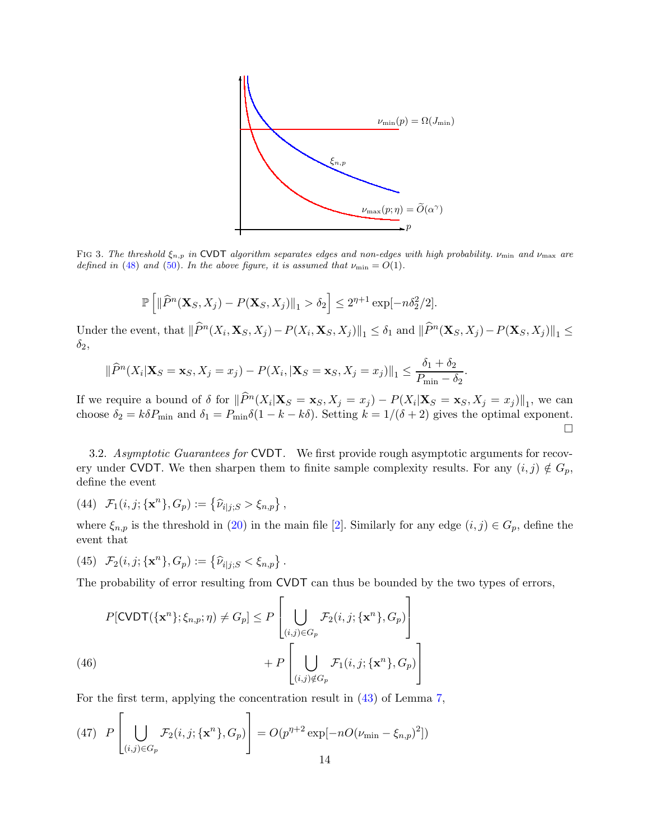

FIG 3. The threshold  $\xi_{n,p}$  in CVDT algorithm separates edges and non-edges with high probability.  $\nu_{\min}$  and  $\nu_{\max}$  are defined in [\(48\)](#page-14-0) and [\(50\)](#page-14-1). In the above figure, it is assumed that  $\nu_{\min} = O(1)$ .

$$
\mathbb{P}\left[\|\widehat{P}^n(\mathbf{X}_S,X_j)-P(\mathbf{X}_S,X_j)\|_1>\delta_2\right]\leq 2^{\eta+1}\exp[-n\delta_2^2/2].
$$

Under the event, that  $\|\widehat{P}^n(X_i, \mathbf{X}_S, X_j) - P(X_i, \mathbf{X}_S, X_j)\|_1 \le \delta_1$  and  $\|\widehat{P}^n(\mathbf{X}_S, X_j) - P(\mathbf{X}_S, X_j)\|_1 \le$  $\delta_2$ ,

$$
\|\widehat{P}^n(X_i|\mathbf{X}_S=\mathbf{x}_S,X_j=x_j)-P(X_i,|\mathbf{X}_S=\mathbf{x}_S,X_j=x_j)\|_1\leq \frac{\delta_1+\delta_2}{P_{\min}-\delta_2}.
$$

If we require a bound of  $\delta$  for  $\|\widehat{P}^n(X_i|\mathbf{X}_S = \mathbf{x}_S, X_j = x_j) - P(X_i|\mathbf{X}_S = \mathbf{x}_S, X_j = x_j)\|_1$ , we can choose  $\delta_2 = k \delta P_{\text{min}}$  and  $\delta_1 = P_{\text{min}} \delta(1 - k - k \delta)$ . Setting  $k = 1/(\delta + 2)$  gives the optimal exponent.  $\Box$ 

3.2. Asymptotic Guarantees for CVDT. We first provide rough asymptotic arguments for recovery under CVDT. We then sharpen them to finite sample complexity results. For any  $(i, j) \notin G_p$ , define the event

<span id="page-13-2"></span>(44) 
$$
\mathcal{F}_1(i, j; \{\mathbf{x}^n\}, G_p) := \{\hat{\nu}_{i|j;S} > \xi_{n,p}\},
$$

<span id="page-13-3"></span>where  $\xi_{n,p}$  is the threshold in (20) in the main file [\[2\]](#page-21-2). Similarly for any edge  $(i, j) \in G_p$ , define the event that

(45) 
$$
\mathcal{F}_2(i, j; \{ \mathbf{x}^n \}, G_p) := \{ \widehat{\nu}_{i|j;S} < \xi_{n,p} \}.
$$

The probability of error resulting from CVDT can thus be bounded by the two types of errors,

$$
P[\text{CVDT}(\{\mathbf{x}^n\}; \xi_{n,p}; \eta) \neq G_p] \leq P\left[\bigcup_{(i,j)\in G_p} \mathcal{F}_2(i,j; \{\mathbf{x}^n\}, G_p)\right] + P\left[\bigcup_{(i,j)\notin G_p} \mathcal{F}_1(i,j; \{\mathbf{x}^n\}, G_p)\right]
$$

<span id="page-13-1"></span>For the first term, applying the concentration result in [\(43\)](#page-12-2) of Lemma [7,](#page-12-3)

<span id="page-13-0"></span>(47) 
$$
P\left[\bigcup_{(i,j)\in G_p} \mathcal{F}_2(i,j; \{\mathbf{x}^n\}, G_p)\right] = O(p^{n+2} \exp[-nO(\nu_{\min} - \xi_{n,p})^2])
$$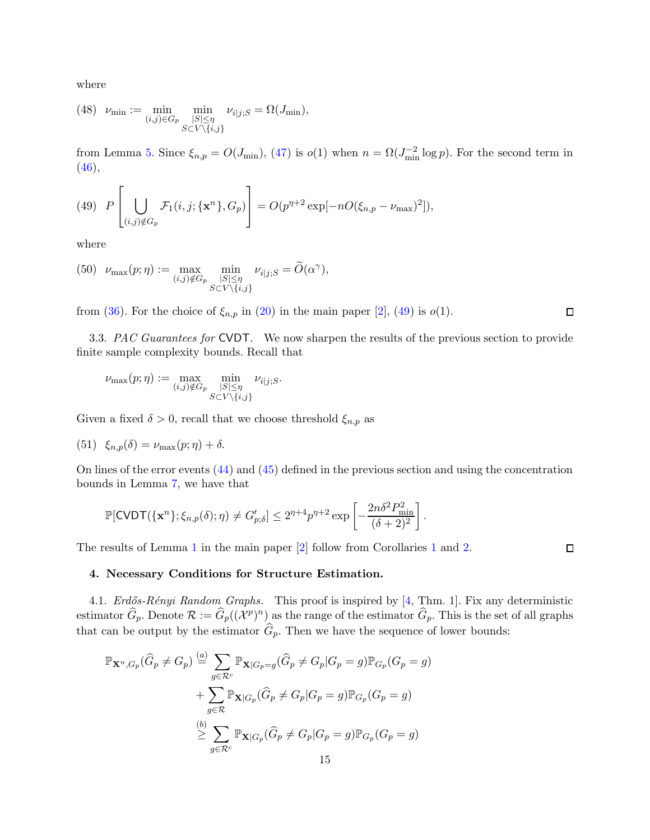<span id="page-14-0"></span>where

(48) 
$$
\nu_{\min} := \min_{\substack{(i,j)\in G_p \\ S \subset V \setminus \{i,j\}}} \min_{\substack{\substack{|S| \leq \eta \\ S \subset V \setminus \{i,j\}}} \nu_{i|j;S}} = \Omega(J_{\min}),
$$

<span id="page-14-2"></span>from Lemma [5.](#page-11-1) Since  $\xi_{n,p} = O(J_{\min})$ , [\(47\)](#page-13-0) is  $o(1)$  when  $n = \Omega(J_{\min}^{-2} \log p)$ . For the second term in  $(46),$  $(46),$ 

(49) 
$$
P\left[\bigcup_{(i,j)\notin G_p} \mathcal{F}_1(i,j;\{\mathbf{x}^n\},G_p)\right] = O(p^{\eta+2}\exp[-nO(\xi_{n,p}-\nu_{\max})^2]),
$$

<span id="page-14-1"></span>where

(50) 
$$
\nu_{\max}(p;\eta) := \max_{(i,j)\notin G_p} \min_{\substack{|S| \leq \eta \\ S \subset V \setminus \{i,j\}}} \nu_{i|j;S} = \widetilde{O}(\alpha^{\gamma}),
$$

from [\(36\)](#page-10-0). For the choice of  $\xi_{n,p}$  in (20) in the main paper [\[2](#page-21-2)], [\(49\)](#page-14-2) is  $o(1)$ .

3.3. PAC Guarantees for CVDT. We now sharpen the results of the previous section to provide finite sample complexity bounds. Recall that

$$
\nu_{\max}(p;\eta) := \max_{(i,j)\notin G_p} \min_{\substack{|S| \leq \eta \\ S \subset V \setminus \{i,j\}}} \nu_{i|j;S}.
$$

Given a fixed  $\delta > 0$ , recall that we choose threshold  $\xi_{n,p}$  as

(51) 
$$
\xi_{n,p}(\delta) = \nu_{\max}(p;\eta) + \delta.
$$

On lines of the error events [\(44\)](#page-13-2) and [\(45\)](#page-13-3) defined in the previous section and using the concentration bounds in Lemma [7,](#page-12-3) we have that

$$
\mathbb{P}[\text{CVDT}(\{\mathbf{x}^n\}; \xi_{n,p}(\delta); \eta) \neq G'_{p,\delta}] \leq 2^{\eta+4} p^{\eta+2} \exp\left[-\frac{2n\delta^2 P_{\text{min}}^2}{(\delta+2)^2}\right].
$$

The results of Lemma [1](#page-3-5) in the main paper [\[2](#page-21-2)] follow from Corollaries [1](#page-6-0) and [2.](#page-7-3)

4. Necessary Conditions for Structure Estimation.

4.1. Erdős-Rényi Random Graphs. This proof is inspired by [\[4](#page-21-13), Thm. 1]. Fix any deterministic estimator  $\widehat{G}_p$ . Denote  $\mathcal{R} := \widehat{G}_p((\mathcal{X}^p)^n)$  as the range of the estimator  $\widehat{G}_p$ . This is the set of all graphs that can be output by the estimator  $G_p$ . Then we have the sequence of lower bounds:

$$
\mathbb{P}_{\mathbf{X}^n, G_p}(\widehat{G}_p \neq G_p) \stackrel{(a)}{=} \sum_{g \in \mathcal{R}^c} \mathbb{P}_{\mathbf{X}|G_p = g}(\widehat{G}_p \neq G_p | G_p = g) \mathbb{P}_{G_p}(G_p = g)
$$
  
+ 
$$
\sum_{g \in \mathcal{R}} \mathbb{P}_{\mathbf{X}|G_p}(\widehat{G}_p \neq G_p | G_p = g) \mathbb{P}_{G_p}(G_p = g)
$$
  

$$
\stackrel{(b)}{\geq} \sum_{g \in \mathcal{R}^c} \mathbb{P}_{\mathbf{X}|G_p}(\widehat{G}_p \neq G_p | G_p = g) \mathbb{P}_{G_p}(G_p = g)
$$

 $\Box$ 

 $\Box$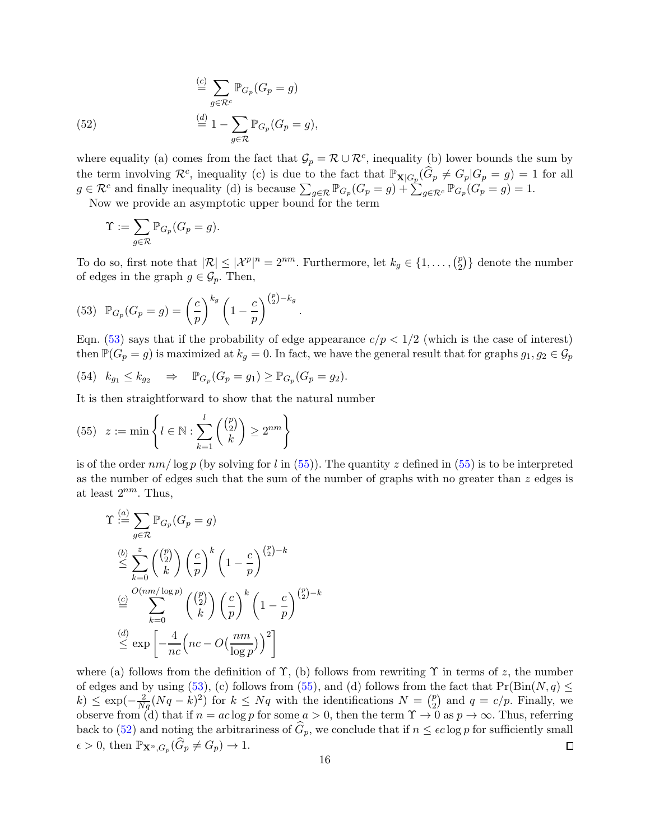<span id="page-15-2"></span>(52) 
$$
\stackrel{(c)}{=} \sum_{g \in \mathcal{R}^c} \mathbb{P}_{G_p}(G_p = g)
$$

$$
\stackrel{(d)}{=} 1 - \sum_{g \in \mathcal{R}} \mathbb{P}_{G_p}(G_p = g),
$$

where equality (a) comes from the fact that  $\mathcal{G}_p = \mathcal{R} \cup \mathcal{R}^c$ , inequality (b) lower bounds the sum by the term involving  $\mathcal{R}^c$ , inequality (c) is due to the fact that  $\mathbb{P}_{\mathbf{X}|G_p}(\widehat{G}_p \neq G_p | G_p = g) = 1$  for all  $g \in \mathcal{R}^c$  and finally inequality (d) is because  $\sum_{g \in \mathcal{R}} \mathbb{P}_{G_p}(G_p = g) + \sum_{g \in \mathcal{R}^c} \mathbb{P}_{G_p}(G_p = g) = 1.$ 

Now we provide an asymptotic upper bound for the term

$$
\Upsilon := \sum_{g \in \mathcal{R}} \mathbb{P}_{G_p}(G_p = g).
$$

To do so, first note that  $|\mathcal{R}| \leq |\mathcal{X}^p|^n = 2^{nm}$ . Furthermore, let  $k_g \in \{1, \ldots, \binom{p}{2}\}$  $\binom{p}{2}$  denote the number of edges in the graph  $g \in \mathcal{G}_p$ . Then,

(53) 
$$
\mathbb{P}_{G_p}(G_p = g) = \left(\frac{c}{p}\right)^{k_g} \left(1 - \frac{c}{p}\right)^{\binom{p}{2} - k_g}
$$

Eqn. [\(53\)](#page-15-0) says that if the probability of edge appearance  $c/p < 1/2$  (which is the case of interest) then  $\mathbb{P}(G_p = g)$  is maximized at  $k_g = 0$ . In fact, we have the general result that for graphs  $g_1, g_2 \in \mathcal{G}_p$ 

<span id="page-15-1"></span><span id="page-15-0"></span>.

(54) 
$$
k_{g_1} \le k_{g_2} \Rightarrow \mathbb{P}_{G_p}(G_p = g_1) \ge \mathbb{P}_{G_p}(G_p = g_2).
$$

It is then straightforward to show that the natural number

(55) 
$$
z := \min \left\{ l \in \mathbb{N} : \sum_{k=1}^{l} \binom{\binom{p}{2}}{k} \ge 2^{nm} \right\}
$$

is of the order  $nm/\log p$  (by solving for l in [\(55\)](#page-15-1)). The quantity z defined in (55) is to be interpreted as the number of edges such that the sum of the number of graphs with no greater than  $z$  edges is at least  $2^{nm}$ . Thus,

$$
\begin{split}\n\Upsilon & \stackrel{(a)}{=} \sum_{g \in \mathcal{R}} \mathbb{P}_{G_p}(G_p = g) \\
& \stackrel{(b)}{\leq} \sum_{k=0}^{z} \binom{\binom{p}{2}}{k} \left(\frac{c}{p}\right)^k \left(1 - \frac{c}{p}\right)^{\binom{p}{2} - k} \\
& \stackrel{(c)}{=} \sum_{k=0}^{O(nm/\log p)} \binom{\binom{p}{2}}{k} \left(\frac{c}{p}\right)^k \left(1 - \frac{c}{p}\right)^{\binom{p}{2} - k} \\
& \stackrel{(d)}{\leq} \exp\left[-\frac{4}{nc}\left(nc - O\left(\frac{nm}{\log p}\right)\right)^2\right]\n\end{split}
$$

where (a) follows from the definition of  $\Upsilon$ , (b) follows from rewriting  $\Upsilon$  in terms of z, the number of edges and by using  $(53)$ , (c) follows from  $(55)$ , and (d) follows from the fact that  $Pr(Bin(N, q) \leq$  $k)$  ≤ exp( $-\frac{2}{Nq}(Nq-k)^2$ ) for  $k ≤ Nq$  with the identifications  $N = \binom{p}{2}$  $_2^p$  and  $q = c/p$ . Finally, we observe from (d) that if  $n = ac \log p$  for some  $a > 0$ , then the term  $\Upsilon \to 0$  as  $p \to \infty$ . Thus, referring back to [\(52\)](#page-15-2) and noting the arbitrariness of  $\widehat{G}_p$ , we conclude that if  $n \leq \epsilon c \log p$  for sufficiently small  $\epsilon > 0$ , then  $\mathbb{P}_{\mathbf{X}^n, G_p}(\widehat{G}_p \neq G_p) \to 1$ .  $\Box$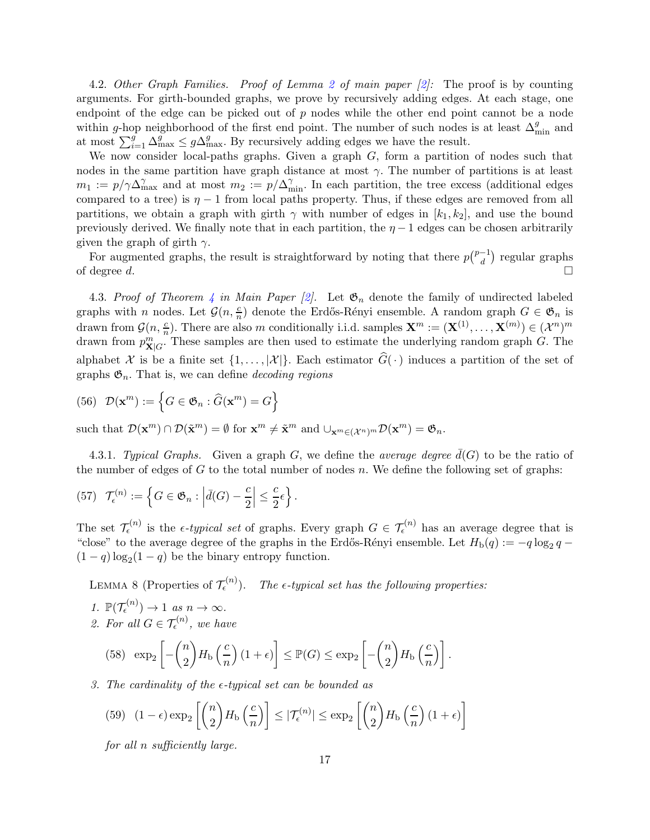4.[2](#page-4-8). Other Graph Families. Proof of Lemma 2 of main paper [\[2](#page-21-2)]: The proof is by counting arguments. For girth-bounded graphs, we prove by recursively adding edges. At each stage, one endpoint of the edge can be picked out of  $p$  nodes while the other end point cannot be a node within g-hop neighborhood of the first end point. The number of such nodes is at least  $\Delta_{\min}^g$  and at most  $\sum_{i=1}^{g} \Delta_{\max}^g \leq g \Delta_{\max}^g$ . By recursively adding edges we have the result.

We now consider local-paths graphs. Given a graph  $G$ , form a partition of nodes such that nodes in the same partition have graph distance at most  $\gamma$ . The number of partitions is at least  $m_1 := p/\gamma \Delta_{\max}^{\gamma}$  and at most  $m_2 := p/\Delta_{\min}^{\gamma}$ . In each partition, the tree excess (additional edges compared to a tree) is  $\eta - 1$  from local paths property. Thus, if these edges are removed from all partitions, we obtain a graph with girth  $\gamma$  with number of edges in  $[k_1, k_2]$ , and use the bound previously derived. We finally note that in each partition, the  $\eta - 1$  edges can be chosen arbitrarily given the graph of girth  $\gamma$ .

For augmented graphs, the result is straightforward by noting that there  $p\binom{p-1}{d}$  regular graphs of degree d.

4.3. Proof of Theorem 4 in Main Paper [\[2\]](#page-21-2). Let  $\mathfrak{G}_n$  denote the family of undirected labeled graphs with n nodes. Let  $\mathcal{G}(n, \frac{c}{n})$  denote the Erdős-Rényi ensemble. A random graph  $G \in \mathfrak{G}_n$  is drawn from  $\mathcal{G}(n, \frac{c}{n})$ . There are also m conditionally i.i.d. samples  $\mathbf{X}^m := (\mathbf{X}^{(1)}, \dots, \mathbf{X}^{(m)}) \in (\mathcal{X}^n)^m$ drawn from  $p_{\mathbf{X}|G}^m$ . These samples are then used to estimate the underlying random graph G. The alphabet X is be a finite set  $\{1,\ldots,|\mathcal{X}|\}$ . Each estimator  $\widehat{G}(\cdot)$  induces a partition of the set of graphs  $\mathfrak{G}_n$ . That is, we can define *decoding regions* 

(56) 
$$
\mathcal{D}(\mathbf{x}^m) := \left\{ G \in \mathfrak{G}_n : \widehat{G}(\mathbf{x}^m) = G \right\}
$$

such that  $\mathcal{D}(\mathbf{x}^m) \cap \mathcal{D}(\tilde{\mathbf{x}}^m) = \emptyset$  for  $\mathbf{x}^m \neq \tilde{\mathbf{x}}^m$  and  $\cup_{\mathbf{x}^m \in (\mathcal{X}^n)^m} \mathcal{D}(\mathbf{x}^m) = \mathfrak{G}_n$ .

4.3.1. Typical Graphs. Given a graph G, we define the average degree  $d(G)$  to be the ratio of the number of edges of G to the total number of nodes  $n$ . We define the following set of graphs:

(57) 
$$
\mathcal{T}_{\epsilon}^{(n)} := \left\{ G \in \mathfrak{G}_n : \left| \bar{d}(G) - \frac{c}{2} \right| \leq \frac{c}{2} \epsilon \right\}.
$$

The set  $\mathcal{T}_{\epsilon}^{(n)}$  is the  $\epsilon$ -typical set of graphs. Every graph  $G \in \mathcal{T}_{\epsilon}^{(n)}$  has an average degree that is "close" to the average degree of the graphs in the Erdős-Rényi ensemble. Let  $H_{\text{b}}(q) := -q \log_2 q$  $(1 - q) \log_2(1 - q)$  be the binary entropy function.

<span id="page-16-1"></span>LEMMA 8 (Properties of  $\mathcal{T}_{\epsilon}^{(n)}$ ). The  $\epsilon$ -typical set has the following properties:

1.  $\mathbb{P}(\mathcal{T}_{\epsilon}^{(n)}) \to 1$  as  $n \to \infty$ . 2. For all  $G \in \mathcal{T}_{\epsilon}^{(n)}$ , we have

<span id="page-16-0"></span>(58) 
$$
\exp_2\left[-\binom{n}{2}H_\text{b}\left(\frac{c}{n}\right)(1+\epsilon)\right] \leq \mathbb{P}(G) \leq \exp_2\left[-\binom{n}{2}H_\text{b}\left(\frac{c}{n}\right)\right].
$$

## 3. The cardinality of the  $\epsilon$ -typical set can be bounded as

(59) 
$$
(1 - \epsilon) \exp_2 \left[ \binom{n}{2} H_b \left( \frac{c}{n} \right) \right] \le |\mathcal{T}_{\epsilon}^{(n)}| \le \exp_2 \left[ \binom{n}{2} H_b \left( \frac{c}{n} \right) (1 + \epsilon) \right]
$$

for all n sufficiently large.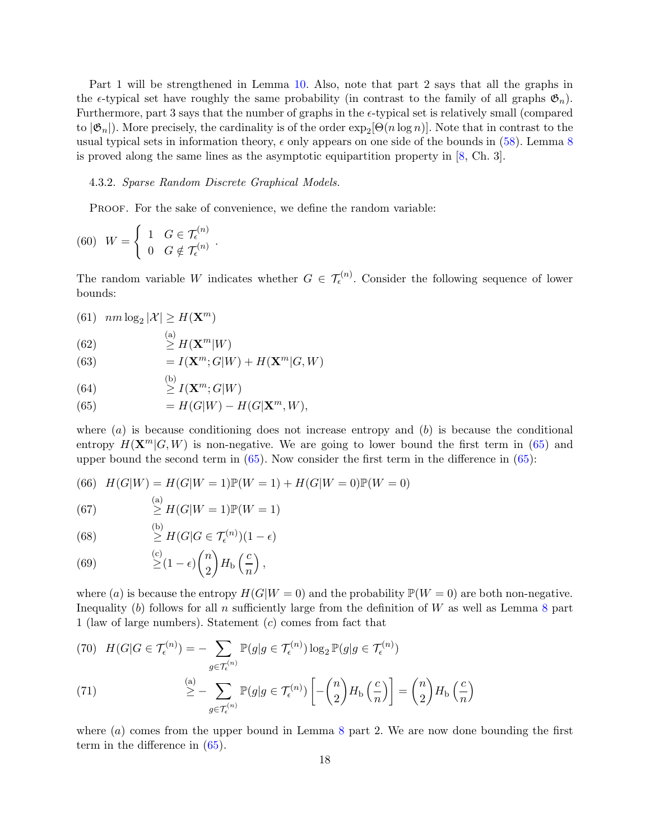Part 1 will be strengthened in Lemma [10.](#page-19-0) Also, note that part 2 says that all the graphs in the  $\epsilon$ -typical set have roughly the same probability (in contrast to the family of all graphs  $\mathfrak{G}_n$ ). Furthermore, part 3 says that the number of graphs in the  $\epsilon$ -typical set is relatively small (compared to  $|\mathfrak{G}_n|$ ). More precisely, the cardinality is of the order  $\exp_2[\Theta(n \log n)]$ . Note that in contrast to the usual typical sets in information theory,  $\epsilon$  only appears on one side of the bounds in [\(58\)](#page-16-0). Lemma [8](#page-16-1) is proved along the same lines as the asymptotic equipartition property in  $[8, Ch. 3]$ .

#### 4.3.2. Sparse Random Discrete Graphical Models.

.

PROOF. For the sake of convenience, we define the random variable:

(60) 
$$
W = \begin{cases} 1 & G \in \mathcal{T}_{\epsilon}^{(n)} \\ 0 & G \notin \mathcal{T}_{\epsilon}^{(n)} \end{cases}
$$

The random variable W indicates whether  $G \in \mathcal{T}_{\epsilon}^{(n)}$ . Consider the following sequence of lower bounds:

(61)  $nm \log_2 |\mathcal{X}| \geq H(\mathbf{X}^m)$ 

(62) 
$$
\overset{\text{(a)}}{\geq} H(\mathbf{X}^m|W)
$$

(63) 
$$
= I(\mathbf{X}^m; G|W) + H(\mathbf{X}^m|G, W)
$$

(64) 
$$
\overset{\text{(b)}}{\geq} I(\mathbf{X}^m; G|W)
$$

<span id="page-17-0"></span>(65) 
$$
= H(G|W) - H(G|\mathbf{X}^m, W),
$$

where  $(a)$  is because conditioning does not increase entropy and  $(b)$  is because the conditional entropy  $H(\mathbf{X}^m | G, W)$  is non-negative. We are going to lower bound the first term in [\(65\)](#page-17-0) and upper bound the second term in  $(65)$ . Now consider the first term in the difference in  $(65)$ :

(66) 
$$
H(G|W) = H(G|W=1) \mathbb{P}(W=1) + H(G|W=0) \mathbb{P}(W=0)
$$

(67)   
 
$$
\stackrel{\text{(a)}}{\geq} H(G|W=1)\mathbb{P}(W=1)
$$

(68) 
$$
\geq H(G|G \in \mathcal{T}_{\epsilon}^{(n)})(1-\epsilon)
$$

 $(1, 3)$ 

<span id="page-17-1"></span>(69) 
$$
\geq (1 - \epsilon) {n \choose 2} H_{\text{b}}\left(\frac{c}{n}\right),
$$

where (a) is because the entropy  $H(G|W=0)$  and the probability  $\mathbb{P}(W=0)$  are both non-negative. Inequality (b) follows for all n sufficiently large from the definition of  $W$  as well as Lemma [8](#page-16-1) part 1 (law of large numbers). Statement (c) comes from fact that

(70) 
$$
H(G|G \in \mathcal{T}_{\epsilon}^{(n)}) = -\sum_{g \in \mathcal{T}_{\epsilon}^{(n)}} \mathbb{P}(g|g \in \mathcal{T}_{\epsilon}^{(n)}) \log_2 \mathbb{P}(g|g \in \mathcal{T}_{\epsilon}^{(n)})
$$

$$
\stackrel{(a)}{\geq} -\sum_{g \in \mathcal{T}_{\epsilon}^{(n)}} \mathbb{P}(g|g \in \mathcal{T}_{\epsilon}^{(n)}) \left[ -\binom{n}{2} H_{\rm b}\left(\frac{c}{n}\right) \right] = \binom{n}{2} H_{\rm b}\left(\frac{c}{n}\right)
$$

where  $(a)$  comes from the upper bound in Lemma [8](#page-16-1) part 2. We are now done bounding the first term in the difference in [\(65\)](#page-17-0).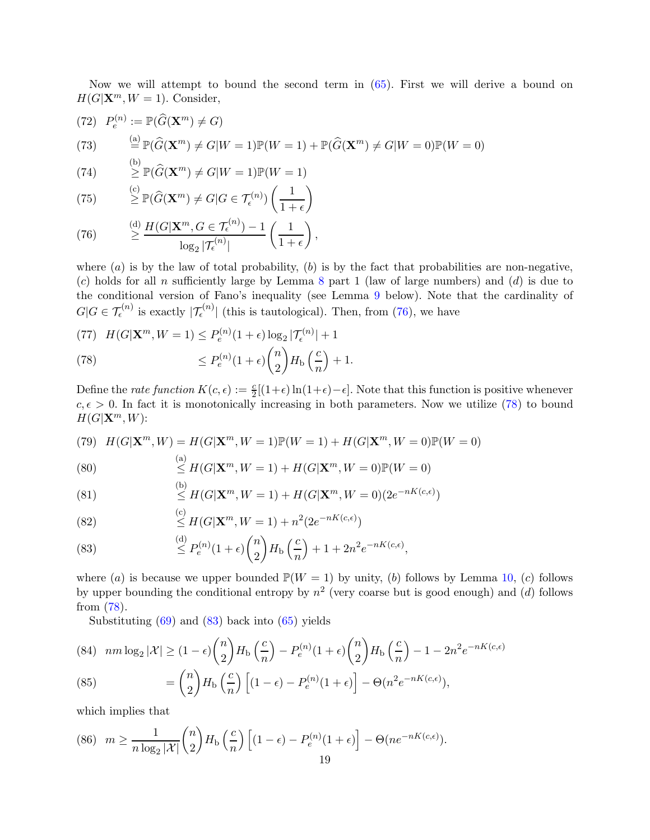Now we will attempt to bound the second term in [\(65\)](#page-17-0). First we will derive a bound on  $H(G|\mathbf{X}^m, W = 1)$ . Consider,

(72) 
$$
P_e^{(n)} := \mathbb{P}(\widehat{G}(\mathbf{X}^m) \neq G)
$$
  
\n(73)  $\stackrel{\text{(a)}}{=} \mathbb{P}(\widehat{G}(\mathbf{X}^m) \neq G|W = 1)\mathbb{P}(W = 1) + \mathbb{P}(\widehat{G}(\mathbf{X}^m) \neq G|W = 0)\mathbb{P}(W = 0)$ 

(74) 
$$
\geq \mathbb{P}(\widehat{G}(\mathbf{X}^m) \neq G|W=1)\mathbb{P}(W=1)
$$

(75) 
$$
\geq \mathbb{P}(\widehat{G}(\mathbf{X}^m) \neq G | G \in \mathcal{T}_{\epsilon}^{(n)}) \left(\frac{1}{1+\epsilon}\right)
$$

<span id="page-18-0"></span>(76) 
$$
\stackrel{\text{(d)}}{\geq} \frac{H(G|\mathbf{X}^m, G \in \mathcal{T}_{\epsilon}^{(n)}) - 1}{\log_2 |\mathcal{T}_{\epsilon}^{(n)}|} \left(\frac{1}{1+\epsilon}\right),
$$

where  $(a)$  is by the law of total probability,  $(b)$  is by the fact that probabilities are non-negative,  $(c)$  holds for all n sufficiently large by Lemma [8](#page-16-1) part 1 (law of large numbers) and  $(d)$  is due to the conditional version of Fano's inequality (see Lemma [9](#page-19-1) below). Note that the cardinality of  $G|G \in \mathcal{T}_{\epsilon}^{(n)}$  is exactly  $|\mathcal{T}_{\epsilon}^{(n)}|$  (this is tautological). Then, from [\(76\)](#page-18-0), we have

<span id="page-18-1"></span>(77) 
$$
H(G|\mathbf{X}^m, W=1) \le P_e^{(n)}(1+\epsilon)\log_2|\mathcal{T}_e^{(n)}|+1
$$
  
(78) 
$$
\le P_e^{(n)}(1+\epsilon)\binom{n}{2}H_b\left(\frac{c}{n}\right)+1.
$$

Define the *rate function*  $K(c, \epsilon) := \frac{c}{2}[(1+\epsilon)\ln(1+\epsilon)-\epsilon]$ . Note that this function is positive whenever  $c, \epsilon > 0$ . In fact it is monotonically increasing in both parameters. Now we utilize [\(78\)](#page-18-1) to bound  $H(G|X^m,W)$ :

(79) 
$$
H(G|\mathbf{X}^m, W) = H(G|\mathbf{X}^m, W = 1)\mathbb{P}(W = 1) + H(G|\mathbf{X}^m, W = 0)\mathbb{P}(W = 0)
$$

(80) 
$$
\leq H(G|\mathbf{X}^m, W=1) + H(G|\mathbf{X}^m, W=0)\mathbb{P}(W=0)
$$

(81) 
$$
\leq H(G|\mathbf{X}^m, W=1) + H(G|\mathbf{X}^m, W=0) (2e^{-nK(c,\epsilon)})
$$

(82) 
$$
\leq H(G|\mathbf{X}^m, W = 1) + n^2(2e^{-nK(c,\epsilon)})
$$

<span id="page-18-2"></span>(83) 
$$
\leq P_e^{(n)}(1+\epsilon)\binom{n}{2}H_{\text{b}}\left(\frac{c}{n}\right) + 1 + 2n^2e^{-nK(c,\epsilon)},
$$

where (a) is because we upper bounded  $\mathbb{P}(W = 1)$  by unity, (b) follows by Lemma [10,](#page-19-0) (c) follows by upper bounding the conditional entropy by  $n^2$  (very coarse but is good enough) and (d) follows from [\(78\)](#page-18-1).

Substituting  $(69)$  and  $(83)$  back into  $(65)$  yields

(84) 
$$
nm \log_2 |\mathcal{X}| \ge (1 - \epsilon) {n \choose 2} H_b \left( \frac{c}{n} \right) - P_e^{(n)} (1 + \epsilon) {n \choose 2} H_b \left( \frac{c}{n} \right) - 1 - 2n^2 e^{-nK(c,\epsilon)}
$$
  

$$
= {n \choose 2} H_c \left( \frac{c}{n} \right) \left[ (1 - \epsilon) - P_e^{(n)} (1 + \epsilon) \right] - \Theta(n^2 e^{-nK(c,\epsilon)})
$$

(85) 
$$
= {n \choose 2} H_{\rm b} \left( \frac{c}{n} \right) \left[ (1 - \epsilon) - P_e^{(n)} (1 + \epsilon) \right] - \Theta(n^2 e^{-nK(c, \epsilon)}),
$$

<span id="page-18-3"></span>which implies that

(86) 
$$
m \ge \frac{1}{n \log_2 |\mathcal{X}|} {n \choose 2} H_b \left( \frac{c}{n} \right) \left[ (1 - \epsilon) - P_e^{(n)} (1 + \epsilon) \right] - \Theta(n e^{-nK(c, \epsilon)}).
$$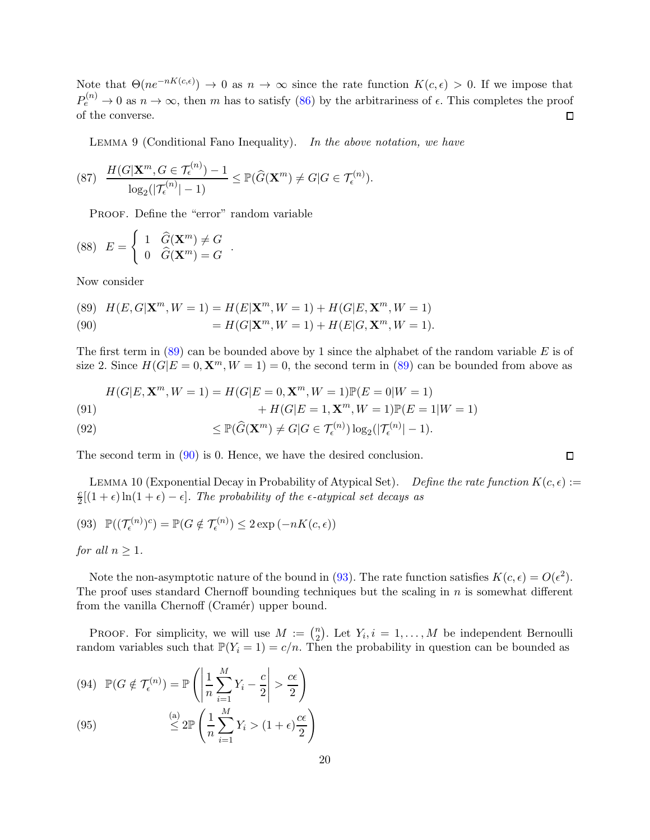Note that  $\Theta(ne^{-nK(c,\epsilon)}) \to 0$  as  $n \to \infty$  since the rate function  $K(c,\epsilon) > 0$ . If we impose that  $P_e^{(n)} \to 0$  as  $n \to \infty$ , then m has to satisfy [\(86\)](#page-18-3) by the arbitrariness of  $\epsilon$ . This completes the proof of the converse.  $\Box$ 

<span id="page-19-1"></span>LEMMA 9 (Conditional Fano Inequality). In the above notation, we have

$$
(87) \quad \frac{H(G|\mathbf{X}^m, G \in \mathcal{T}_{\epsilon}^{(n)}) - 1}{\log_2(|\mathcal{T}_{\epsilon}^{(n)}| - 1)} \leq \mathbb{P}(\widehat{G}(\mathbf{X}^m) \neq G|G \in \mathcal{T}_{\epsilon}^{(n)}).
$$

.

PROOF. Define the "error" random variable

(88) 
$$
E = \begin{cases} 1 & \widehat{G}(\mathbf{X}^m) \neq G \\ 0 & \widehat{G}(\mathbf{X}^m) = G \end{cases}
$$

Now consider

<span id="page-19-3"></span><span id="page-19-2"></span>(89)  $H(E, G|\mathbf{X}^m, W = 1) = H(E|\mathbf{X}^m, W = 1) + H(G|E, \mathbf{X}^m, W = 1)$ (90)  $= H(G|\mathbf{X}^m, W = 1) + H(E|G, \mathbf{X}^m, W = 1).$ 

The first term in (89) can be bounded above by 1 since the alphabet of the random variable E is of size 2. Since 
$$
H(G|E = 0, \mathbf{X}^m, W = 1) = 0
$$
, the second term in (89) can be bounded from above as

(91)  

$$
H(G|E, \mathbf{X}^m, W = 1) = H(G|E = 0, \mathbf{X}^m, W = 1)\mathbb{P}(E = 0|W = 1) + H(G|E = 1, \mathbf{X}^m, W = 1)\mathbb{P}(E = 1|W = 1)
$$

(92) 
$$
\leq \mathbb{P}(\widehat{G}(\mathbf{X}^m) \neq G | G \in \mathcal{T}_{\epsilon}^{(n)}) \log_2(|\mathcal{T}_{\epsilon}^{(n)}| - 1).
$$

The second term in [\(90\)](#page-19-3) is 0. Hence, we have the desired conclusion.

<span id="page-19-0"></span>LEMMA 10 (Exponential Decay in Probability of Atypical Set). Define the rate function  $K(c, \epsilon) :=$ c  $\frac{c}{2}[(1+\epsilon)\ln(1+\epsilon)-\epsilon]$ . The probability of the  $\epsilon$ -atypical set decays as

(93) 
$$
\mathbb{P}((\mathcal{T}_{\epsilon}^{(n)})^c) = \mathbb{P}(G \notin \mathcal{T}_{\epsilon}^{(n)}) \leq 2 \exp(-nK(c, \epsilon))
$$

for all  $n \geq 1$ .

Note the non-asymptotic nature of the bound in [\(93\)](#page-19-4). The rate function satisfies  $K(c, \epsilon) = O(\epsilon^2)$ . The proof uses standard Chernoff bounding techniques but the scaling in  $n$  is somewhat different from the vanilla Chernoff (Cramér) upper bound.

PROOF. For simplicity, we will use  $M := \binom{n}{2}$  $n_2$ . Let  $Y_i$ ,  $i = 1, ..., M$  be independent Bernoulli random variables such that  $\mathbb{P}(Y_i = 1) = c/n$ . Then the probability in question can be bounded as

(94) 
$$
\mathbb{P}(G \notin \mathcal{T}_{\epsilon}^{(n)}) = \mathbb{P}\left(\left|\frac{1}{n}\sum_{i=1}^{M}Y_i - \frac{c}{2}\right| > \frac{c\epsilon}{2}\right)
$$

(95) 
$$
\overset{(a)}{\leq} 2\mathbb{P}\left(\frac{1}{n}\sum_{i=1}^{M}Y_i > (1+\epsilon)\frac{c\epsilon}{2}\right)
$$

<span id="page-19-4"></span> $\Box$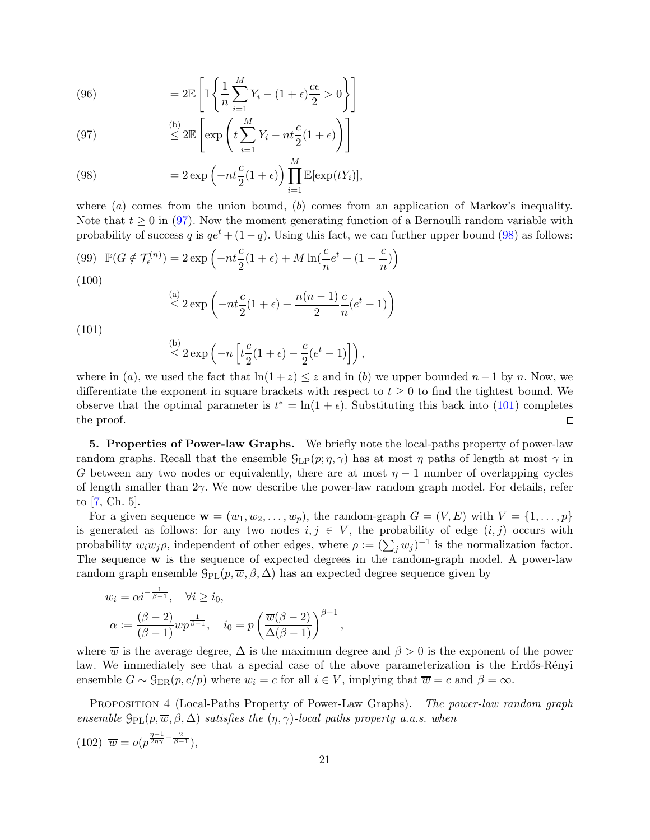(96) 
$$
= 2\mathbb{E}\left[\mathbb{I}\left\{\frac{1}{n}\sum_{i=1}^{M}Y_i - (1+\epsilon)\frac{c\epsilon}{2} > 0\right\}\right]
$$

<span id="page-20-0"></span>(97) 
$$
\overset{\text{(b)}}{\leq} 2\mathbb{E}\left[\exp\left(t\sum_{i=1}^{M}Y_i - nt\frac{c}{2}(1+\epsilon)\right)\right]
$$

<span id="page-20-1"></span>(98) 
$$
= 2 \exp \left( -nt \frac{c}{2} (1+\epsilon) \right) \prod_{i=1}^{M} \mathbb{E}[\exp(tY_i)],
$$

where  $(a)$  comes from the union bound,  $(b)$  comes from an application of Markov's inequality. Note that  $t \geq 0$  in [\(97\)](#page-20-0). Now the moment generating function of a Bernoulli random variable with probability of success q is  $qe^t + (1-q)$ . Using this fact, we can further upper bound [\(98\)](#page-20-1) as follows:

(99) 
$$
\mathbb{P}(G \notin \mathcal{T}_{\epsilon}^{(n)}) = 2 \exp\left(-nt\frac{c}{2}(1+\epsilon) + M\ln\left(\frac{c}{n}e^{t} + (1-\frac{c}{n})\right)\right)
$$
(100)

$$
\stackrel{\text{(a)}}{\leq} 2\exp\left(-nt\frac{c}{2}(1+\epsilon) + \frac{n(n-1)}{2}\frac{c}{n}(e^t - 1)\right)
$$

<span id="page-20-2"></span>(101)

$$
\stackrel{\text{(b)}}{\leq} 2 \exp\left(-n \left[t \frac{c}{2} (1+\epsilon) - \frac{c}{2} (e^t - 1)\right]\right),
$$

where in (a), we used the fact that  $\ln(1+z) \leq z$  and in (b) we upper bounded  $n-1$  by n. Now, we differentiate the exponent in square brackets with respect to  $t \geq 0$  to find the tightest bound. We observe that the optimal parameter is  $t^* = \ln(1 + \epsilon)$ . Substituting this back into [\(101\)](#page-20-2) completes the proof.  $\Box$ 

5. Properties of Power-law Graphs. We briefly note the local-paths property of power-law random graphs. Recall that the ensemble  $\mathcal{G}_{LP}(p;\eta,\gamma)$  has at most  $\eta$  paths of length at most  $\gamma$  in G between any two nodes or equivalently, there are at most  $\eta - 1$  number of overlapping cycles of length smaller than 2γ. We now describe the power-law random graph model. For details, refer to [\[7,](#page-21-15) Ch. 5].

For a given sequence  $\mathbf{w} = (w_1, w_2, \dots, w_p)$ , the random-graph  $G = (V, E)$  with  $V = \{1, \dots, p\}$ is generated as follows: for any two nodes  $i, j \in V$ , the probability of edge  $(i, j)$  occurs with probability  $w_i w_j \rho$ , independent of other edges, where  $\rho := (\sum_j w_j)^{-1}$  is the normalization factor. The sequence w is the sequence of expected degrees in the random-graph model. A power-law random graph ensemble  $\mathcal{G}_{PL}(p, \overline{w}, \beta, \Delta)$  has an expected degree sequence given by

<span id="page-20-3"></span>
$$
w_i = \alpha i^{-\frac{1}{\beta - 1}}, \quad \forall i \ge i_0,
$$
  

$$
\alpha := \frac{(\beta - 2)}{(\beta - 1)} \overline{w} p^{\frac{1}{\beta - 1}}, \quad i_0 = p \left( \frac{\overline{w}(\beta - 2)}{\Delta(\beta - 1)} \right)^{\beta - 1},
$$

where  $\overline{w}$  is the average degree,  $\Delta$  is the maximum degree and  $\beta > 0$  is the exponent of the power law. We immediately see that a special case of the above parameterization is the Erdős-Rényi ensemble  $G \sim \mathcal{G}_{\text{ER}}(p, c/p)$  where  $w_i = c$  for all  $i \in V$ , implying that  $\overline{w} = c$  and  $\beta = \infty$ .

PROPOSITION 4 (Local-Paths Property of Power-Law Graphs). The power-law random graph ensemble  $\mathcal{G}_{\text{PL}}(p, \overline{w}, \beta, \Delta)$  satisfies the  $(\eta, \gamma)$ -local paths property a.a.s. when

$$
(102) \ \overline{w} = o(p^{\frac{\eta-1}{2\eta\gamma} - \frac{2}{\beta-1}}),
$$